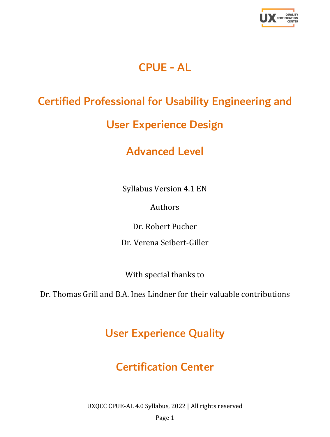

# CPUE - AL

# Certified Professional for Usability Engineering and

# User Experience Design

# Advanced Level

Syllabus Version 4.1 EN

Authors

Dr. Robert Pucher

Dr. Verena Seibert-Giller

With special thanks to

Dr. Thomas Grill and B.A. Ines Lindner for their valuable contributions

# User Experience Quality

# Certification Center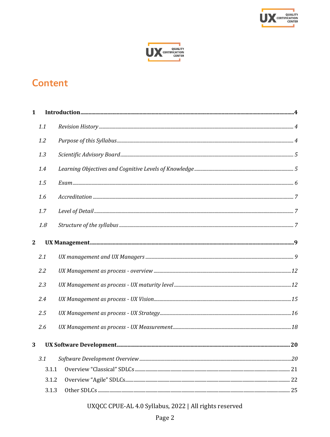



# **Content**

| $\mathbf{1}$   |       | $In traditional \textit{function} \textit{} \textit{} \textit{} \textit{} \textit{} \textit{} \textit{} \textit{} \textit{} \textit{} \textit{} \textit{} \textit{} \textit{} \textit{} \textit{} \textit{} \textit{} \textit{} \textit{} \textit{} \textit{} \textit{} \textit{} \textit{} \textit{} \textit{} \textit{} \textit{} \textit{} \textit{} \textit{} \textit{} \textit{} \textit{} \text$ |  |  |
|----------------|-------|--------------------------------------------------------------------------------------------------------------------------------------------------------------------------------------------------------------------------------------------------------------------------------------------------------------------------------------------------------------------------------------------------------|--|--|
|                | 1.1   |                                                                                                                                                                                                                                                                                                                                                                                                        |  |  |
|                | 1.2   |                                                                                                                                                                                                                                                                                                                                                                                                        |  |  |
|                | 1.3   |                                                                                                                                                                                                                                                                                                                                                                                                        |  |  |
|                | 1.4   |                                                                                                                                                                                                                                                                                                                                                                                                        |  |  |
|                | 1.5   |                                                                                                                                                                                                                                                                                                                                                                                                        |  |  |
|                | 1.6   |                                                                                                                                                                                                                                                                                                                                                                                                        |  |  |
|                | 1.7   |                                                                                                                                                                                                                                                                                                                                                                                                        |  |  |
|                | 1.8   |                                                                                                                                                                                                                                                                                                                                                                                                        |  |  |
| $\overline{2}$ |       |                                                                                                                                                                                                                                                                                                                                                                                                        |  |  |
|                | 2.1   |                                                                                                                                                                                                                                                                                                                                                                                                        |  |  |
|                | 2.2   |                                                                                                                                                                                                                                                                                                                                                                                                        |  |  |
|                | 2.3   |                                                                                                                                                                                                                                                                                                                                                                                                        |  |  |
|                | 2.4   |                                                                                                                                                                                                                                                                                                                                                                                                        |  |  |
|                | 2.5   |                                                                                                                                                                                                                                                                                                                                                                                                        |  |  |
|                | 2.6   |                                                                                                                                                                                                                                                                                                                                                                                                        |  |  |
| 3              |       |                                                                                                                                                                                                                                                                                                                                                                                                        |  |  |
|                | 3.1   |                                                                                                                                                                                                                                                                                                                                                                                                        |  |  |
|                | 3.1.1 |                                                                                                                                                                                                                                                                                                                                                                                                        |  |  |
|                | 3.1.2 |                                                                                                                                                                                                                                                                                                                                                                                                        |  |  |
|                | 3.1.3 |                                                                                                                                                                                                                                                                                                                                                                                                        |  |  |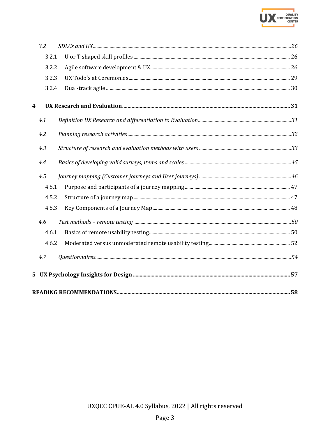

|   | 3.2   |  |
|---|-------|--|
|   | 3.2.1 |  |
|   | 3.2.2 |  |
|   | 3.2.3 |  |
|   | 3.2.4 |  |
| 4 |       |  |
|   | 4.1   |  |
|   | 4.2   |  |
|   | 4.3   |  |
|   | 4.4   |  |
|   | 4.5   |  |
|   | 4.5.1 |  |
|   | 4.5.2 |  |
|   | 4.5.3 |  |
|   | 4.6   |  |
|   | 4.6.1 |  |
|   | 4.6.2 |  |
|   | 4.7   |  |
|   |       |  |
|   |       |  |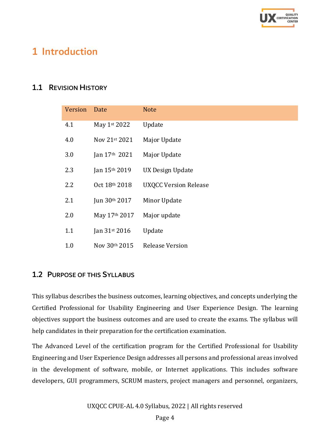

# <span id="page-3-0"></span>1 Introduction

### <span id="page-3-1"></span>1.1 REVISION HISTORY

| Version | Date          | <b>Note</b>                  |
|---------|---------------|------------------------------|
| 4.1     | May 1st 2022  | Update                       |
| 4.0     | Nov 21st 2021 | Major Update                 |
| 3.0     | Jan 17th 2021 | Major Update                 |
| 2.3     | Jan 15th 2019 | <b>UX Design Update</b>      |
| 2.2     | Oct 18th 2018 | <b>UXQCC Version Release</b> |
| 2.1     | Jun 30th 2017 | Minor Update                 |
| 2.0     | May 17th 2017 | Major update                 |
| 1.1     | Jan 31st 2016 | Update                       |
| 1.0     | Nov 30th 2015 | Release Version              |

#### <span id="page-3-2"></span>1.2 PURPOSE OF THIS SYLLABUS

This syllabus describes the business outcomes, learning objectives, and concepts underlying the Certified Professional for Usability Engineering and User Experience Design. The learning objectives support the business outcomes and are used to create the exams. The syllabus will help candidates in their preparation for the certification examination.

The Advanced Level of the certification program for the Certified Professional for Usability Engineering and User Experience Design addresses all persons and professional areas involved in the development of software, mobile, or Internet applications. This includes software developers, GUI programmers, SCRUM masters, project managers and personnel, organizers,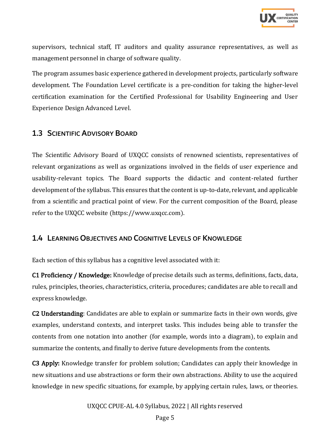

supervisors, technical staff, IT auditors and quality assurance representatives, as well as management personnel in charge of software quality.

The program assumes basic experience gathered in development projects, particularly software development. The Foundation Level certificate is a pre-condition for taking the higher-level certification examination for the Certified Professional for Usability Engineering and User Experience Design Advanced Level.

#### <span id="page-4-0"></span>1.3 SCIENTIFIC ADVISORY BOARD

The Scientific Advisory Board of UXQCC consists of renowned scientists, representatives of relevant organizations as well as organizations involved in the fields of user experience and usability-relevant topics. The Board supports the didactic and content-related further development of the syllabus. This ensures that the content is up-to-date, relevant, and applicable from a scientific and practical point of view. For the current composition of the Board, please refer to the UXQCC website (https://www.uxqcc.com).

#### <span id="page-4-1"></span>1.4 LEARNING OBJECTIVES AND COGNITIVE LEVELS OF KNOWLEDGE

Each section of this syllabus has a cognitive level associated with it:

C1 Proficiency / Knowledge: Knowledge of precise details such as terms, definitions, facts, data, rules, principles, theories, characteristics, criteria, procedures; candidates are able to recall and express knowledge.

C2 Understanding: Candidates are able to explain or summarize facts in their own words, give examples, understand contexts, and interpret tasks. This includes being able to transfer the contents from one notation into another (for example, words into a diagram), to explain and summarize the contents, and finally to derive future developments from the contents.

C3 Apply: Knowledge transfer for problem solution; Candidates can apply their knowledge in new situations and use abstractions or form their own abstractions. Ability to use the acquired knowledge in new specific situations, for example, by applying certain rules, laws, or theories.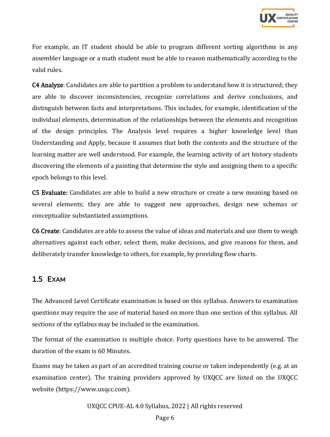

For example, an IT student should be able to program different sorting algorithms in any assembler language or a math student must be able to reason mathematically according to the valid rules.

C4 Analyze: Candidates are able to partition a problem to understand how it is structured; they are able to discover inconsistencies, recognize correlations and derive conclusions, and distinguish between facts and interpretations. This includes, for example, identification of the individual elements, determination of the relationships between the elements and recognition of the design principles. The Analysis level requires a higher knowledge level than Understanding and Apply, because it assumes that both the contents and the structure of the learning matter are well understood. For example, the learning activity of art history students discovering the elements of a painting that determine the style and assigning them to a specific epoch belongs to this level.

C5 Evaluate: Candidates are able to build a new structure or create a new meaning based on several elements; they are able to suggest new approaches, design new schemas or conceptualize substantiated assumptions.

C6 Create: Candidates are able to assess the value of ideas and materials and use them to weigh alternatives against each other, select them, make decisions, and give reasons for them, and deliberately transfer knowledge to others, for example, by providing flow charts.

#### <span id="page-5-0"></span>1.5 EXAM

The Advanced Level Certificate examination is based on this syllabus. Answers to examination questions may require the use of material based on more than one section of this syllabus. All sections of the syllabus may be included in the examination.

The format of the examination is multiple choice. Forty questions have to be answered. The duration of the exam is 60 Minutes.

Exams may be taken as part of an accredited training course or taken independently (e.g. at an examination center). The training providers approved by UXQCC are listed on the UXQCC website (https://www.uxqcc.com).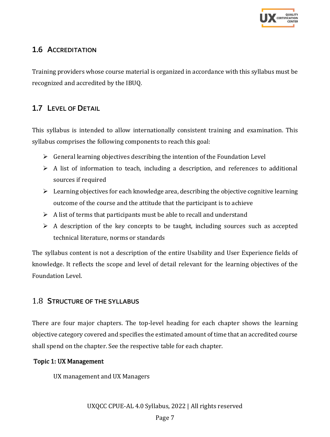

# <span id="page-6-0"></span>1.6 ACCREDITATION

Training providers whose course material is organized in accordance with this syllabus must be recognized and accredited by the IBUQ.

# <span id="page-6-1"></span>1.7 LEVEL OF DETAIL

This syllabus is intended to allow internationally consistent training and examination. This syllabus comprises the following components to reach this goal:

- $\triangleright$  General learning objectives describing the intention of the Foundation Level
- $\triangleright$  A list of information to teach, including a description, and references to additional sources if required
- $\triangleright$  Learning objectives for each knowledge area, describing the objective cognitive learning outcome of the course and the attitude that the participant is to achieve
- $\triangleright$  A list of terms that participants must be able to recall and understand
- $\triangleright$  A description of the key concepts to be taught, including sources such as accepted technical literature, norms or standards

The syllabus content is not a description of the entire Usability and User Experience fields of knowledge. It reflects the scope and level of detail relevant for the learning objectives of the Foundation Level.

### <span id="page-6-2"></span>1.8 STRUCTURE OF THE SYLLABUS

There are four major chapters. The top-level heading for each chapter shows the learning objective category covered and specifies the estimated amount of time that an accredited course shall spend on the chapter. See the respective table for each chapter.

#### Topic 1: UX Management

UX management and UX Managers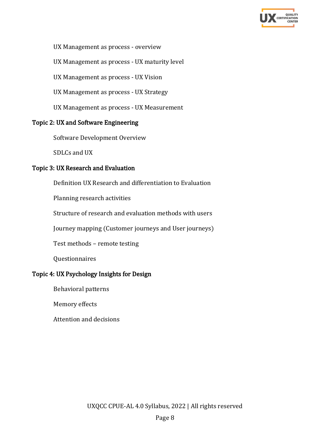

#### UX Management as process - overview

UX Management as process - UX maturity level

UX Management as process - UX Vision

UX Management as process - UX Strategy

UX Management as process - UX Measurement

#### Topic 2: UX and Software Engineering

Software Development Overview

SDLCs and UX

#### Topic 3: UX Research and Evaluation

Definition UX Research and differentiation to Evaluation

Planning research activities

Structure of research and evaluation methods with users

Journey mapping (Customer journeys and User journeys)

Test methods – remote testing

Questionnaires

### Topic 4: UX Psychology Insights for Design

Behavioral patterns

Memory effects

Attention and decisions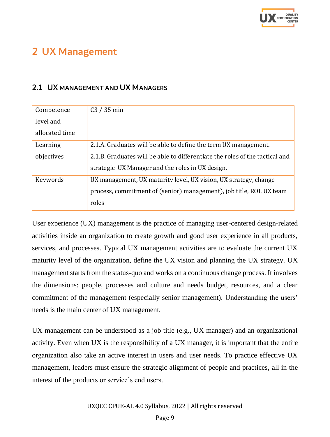

# <span id="page-8-0"></span>2 UX Management

### <span id="page-8-1"></span>2.1 UX MANAGEMENT AND UX MANAGERS

| Competence     | $C3 / 35$ min                                                                |
|----------------|------------------------------------------------------------------------------|
| level and      |                                                                              |
| allocated time |                                                                              |
| Learning       | 2.1.A. Graduates will be able to define the term UX management.              |
| objectives     | 2.1.B. Graduates will be able to differentiate the roles of the tactical and |
|                | strategic UX Manager and the roles in UX design.                             |
| Keywords       | UX management, UX maturity level, UX vision, UX strategy, change             |
|                | process, commitment of (senior) management), job title, ROI, UX team         |
|                | roles                                                                        |

User experience (UX) management is the practice of managing user-centered design-related activities inside an organization to create growth and good user experience in all products, services, and processes. Typical UX management activities are to evaluate the current UX maturity level of the organization, define the UX vision and planning the UX strategy. UX management starts from the status-quo and works on a continuous change process. It involves the dimensions: people, processes and culture and needs budget, resources, and a clear commitment of the management (especially senior management). Understanding the users' needs is the main center of UX management.

UX management can be understood as a job title (e.g., UX manager) and an organizational activity. Even when UX is the responsibility of a UX manager, it is important that the entire organization also take an active interest in users and user needs. To practice effective UX management, leaders must ensure the strategic alignment of people and practices, all in the interest of the products or service's end users.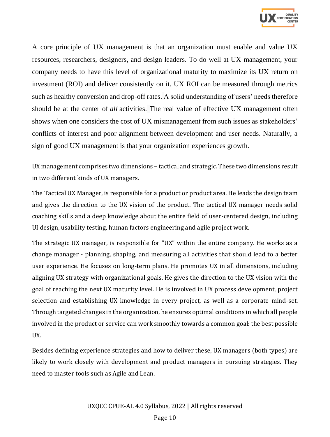

A core principle of UX management is that an organization must enable and value UX resources, researchers, designers, and design leaders. To do well at UX management, your company needs to have this level of organizational maturity to maximize its UX return on investment (ROI) and deliver consistently on it. UX ROI can be measured through metrics such as healthy conversion and drop-off rates. A solid understanding of users' needs therefore should be at the center of *all* activities. The real value of effective UX management often shows when one considers the cost of UX mismanagement from such issues as stakeholders' conflicts of interest and poor alignment between development and user needs. Naturally, a sign of good UX management is that your organization experiences growth.

UX management comprises two dimensions – tactical and strategic. These two dimensions result in two different kinds of UX managers.

The Tactical UX Manager, is responsible for a product or product area. He leads the design team and gives the direction to the UX vision of the product. The tactical UX manager needs solid coaching skills and a deep knowledge about the entire field of user-centered design, including UI design, usability testing, human factors engineering and agile project work.

The strategic UX manager, is responsible for "UX" within the entire company. He works as a change manager - planning, shaping, and measuring all activities that should lead to a better user experience. He focuses on long-term plans. He promotes UX in all dimensions, including aligning UX strategy with organizational goals. He gives the direction to the UX vision with the goal of reaching the next UX maturity level. He is involved in UX process development, project selection and establishing UX knowledge in every project, as well as a corporate mind-set. Through targeted changes in the organization, he ensures optimal conditions in which all people involved in the product or service can work smoothly towards a common goal: the best possible UX.

Besides defining experience strategies and how to deliver these, UX managers (both types) are likely to work closely with development and product managers in pursuing strategies. They need to master tools such as Agile and Lean.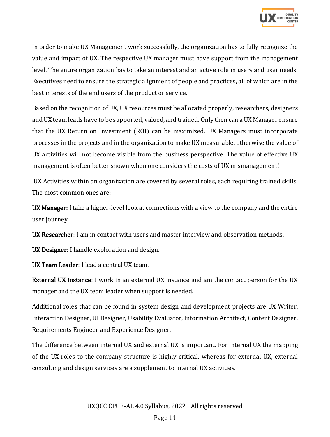

In order to make UX Management work successfully, the organization has to fully recognize the value and impact of UX. The respective UX manager must have support from the management level. The entire organization has to take an interest and an active role in users and user needs. Executives need to ensure the strategic alignment of people and practices, all of which are in the best interests of the end users of the product or service.

Based on the recognition of UX, UX resources must be allocated properly, researchers, designers and UX team leads have to be supported, valued, and trained. Only then can a UX Manager ensure that the UX Return on Investment (ROI) can be maximized. UX Managers must incorporate processes in the projects and in the organization to make UX measurable, otherwise the value of UX activities will not become visible from the business perspective. The value of effective UX management is often better shown when one considers the costs of UX mismanagement!

UX Activities within an organization are covered by several roles, each requiring trained skills. The most common ones are:

UX Manager: I take a higher-level look at connections with a view to the company and the entire user journey.

UX Researcher: I am in contact with users and master interview and observation methods.

UX Designer: I handle exploration and design.

UX Team Leader: I lead a central UX team.

External UX instance: I work in an external UX instance and am the contact person for the UX manager and the UX team leader when support is needed.

Additional roles that can be found in system design and development projects are UX Writer, Interaction Designer, UI Designer, Usability Evaluator, Information Architect, Content Designer, Requirements Engineer and Experience Designer.

The difference between internal UX and external UX is important. For internal UX the mapping of the UX roles to the company structure is highly critical, whereas for external UX, external consulting and design services are a supplement to internal UX activities.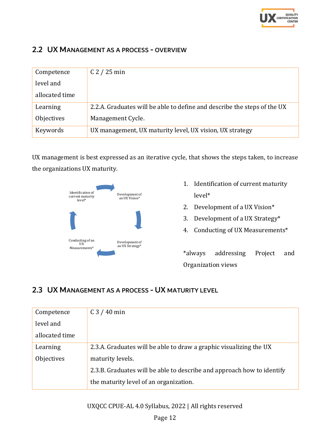

### <span id="page-11-0"></span>2.2 UX MANAGEMENT AS A PROCESS - OVERVIEW

| Competence     | $C2 / 25$ min                                                            |
|----------------|--------------------------------------------------------------------------|
| level and      |                                                                          |
| allocated time |                                                                          |
| Learning       | 2.2.A. Graduates will be able to define and describe the steps of the UX |
| Objectives     | Management Cycle.                                                        |
| Keywords       | UX management, UX maturity level, UX vision, UX strategy                 |

UX management is best expressed as an iterative cycle, that shows the steps taken, to increase the organizations UX maturity.



- 1. Identification of current maturity level\*
- 2. Development of a UX Vision\*
- 3. Development of a UX Strategy\*
- 4. Conducting of UX Measurements\*

\*always addressing Project and Organization views

### <span id="page-11-1"></span>2.3 UX MANAGEMENT AS A PROCESS - UX MATURITY LEVEL

| Competence     | $C3 / 40$ min                                                          |
|----------------|------------------------------------------------------------------------|
| level and      |                                                                        |
| allocated time |                                                                        |
| Learning       | 2.3.A. Graduates will be able to draw a graphic visualizing the UX     |
| Objectives     | maturity levels.                                                       |
|                | 2.3.B. Graduates will be able to describe and approach how to identify |
|                | the maturity level of an organization.                                 |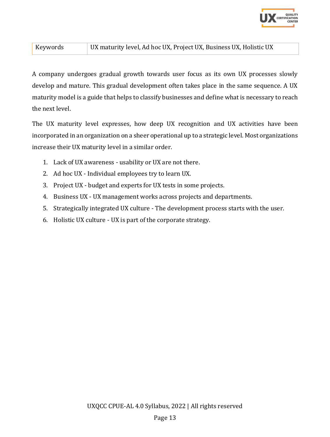

#### Keywords UX maturity level, Ad hoc UX, Project UX, Business UX, Holistic UX

A company undergoes gradual growth towards user focus as its own UX processes slowly develop and mature. This gradual development often takes place in the same sequence. A UX maturity model is a guide that helps to classify businesses and define what is necessary to reach the next level.

The UX maturity level expresses, how deep UX recognition and UX activities have been incorporated in an organization on a sheer operational up to a strategic level. Most organizations increase their UX maturity level in a similar order.

- 1. Lack of UX awareness usability or UX are not there.
- 2. Ad hoc UX Individual employees try to learn UX.
- 3. Project UX budget and experts for UX tests in some projects.
- 4. Business UX UX management works across projects and departments.
- 5. Strategically integrated UX culture The development process starts with the user.
- 6. Holistic UX culture UX is part of the corporate strategy.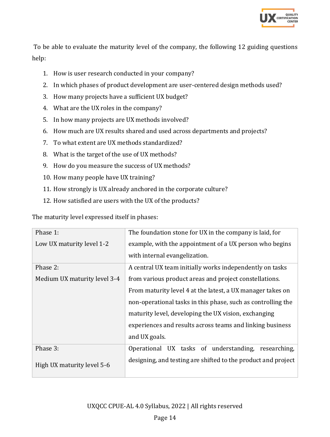

To be able to evaluate the maturity level of the company, the following 12 guiding questions help:

- 1. How is user research conducted in your company?
- 2. In which phases of product development are user-centered design methods used?
- 3. How many projects have a sufficient UX budget?
- 4. What are the UX roles in the company?
- 5. In how many projects are UX methods involved?
- 6. How much are UX results shared and used across departments and projects?
- 7. To what extent are UX methods standardized?
- 8. What is the target of the use of UX methods?
- 9. How do you measure the success of UX methods?
- 10. How many people have UX training?
- 11. How strongly is UX already anchored in the corporate culture?
- 12. How satisfied are users with the UX of the products?

The maturity level expressed itself in phases:

| Phase 1:                     | The foundation stone for UX in the company is laid, for       |
|------------------------------|---------------------------------------------------------------|
| Low UX maturity level 1-2    | example, with the appointment of a UX person who begins       |
|                              | with internal evangelization.                                 |
| Phase 2:                     | A central UX team initially works independently on tasks      |
| Medium UX maturity level 3-4 | from various product areas and project constellations.        |
|                              | From maturity level 4 at the latest, a UX manager takes on    |
|                              | non-operational tasks in this phase, such as controlling the  |
|                              | maturity level, developing the UX vision, exchanging          |
|                              | experiences and results across teams and linking business     |
|                              | and UX goals.                                                 |
| Phase 3:                     | Operational UX tasks of understanding,<br>researching,        |
| High UX maturity level 5-6   | designing, and testing are shifted to the product and project |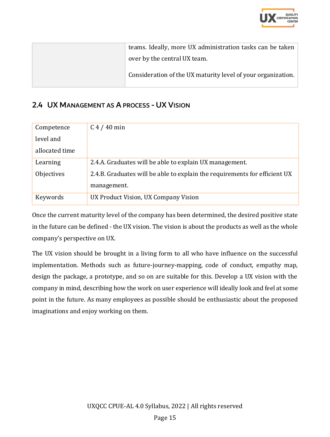

| teams. Ideally, more UX administration tasks can be taken    |
|--------------------------------------------------------------|
| over by the central UX team.                                 |
| Consideration of the UX maturity level of your organization. |

# <span id="page-14-0"></span>2.4 UX MANAGEMENT AS A PROCESS - UX VISION

| Competence     | $C4 / 40$ min                                                              |
|----------------|----------------------------------------------------------------------------|
| level and      |                                                                            |
| allocated time |                                                                            |
| Learning       | 2.4.A. Graduates will be able to explain UX management.                    |
| Objectives     | 2.4.B. Graduates will be able to explain the requirements for efficient UX |
|                | management.                                                                |
| Keywords       | UX Product Vision, UX Company Vision                                       |

Once the current maturity level of the company has been determined, the desired positive state in the future can be defined - the UX vision. The vision is about the products as well as the whole company's perspective on UX.

The UX vision should be brought in a living form to all who have influence on the successful implementation. Methods such as future-journey-mapping, code of conduct, empathy map, design the package, a prototype, and so on are suitable for this. Develop a UX vision with the company in mind, describing how the work on user experience will ideally look and feel at some point in the future. As many employees as possible should be enthusiastic about the proposed imaginations and enjoy working on them.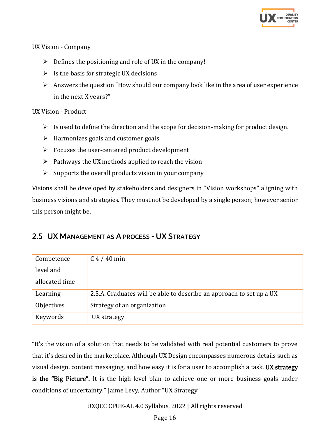

#### UX Vision - Company

- $\triangleright$  Defines the positioning and role of UX in the company!
- $\triangleright$  Is the basis for strategic UX decisions
- $\triangleright$  Answers the question "How should our company look like in the area of user experience in the next X years?"

#### UX Vision - Product

- $\triangleright$  Is used to define the direction and the scope for decision-making for product design.
- $\triangleright$  Harmonizes goals and customer goals
- ➢ Focuses the user-centered product development
- $\triangleright$  Pathways the UX methods applied to reach the vision
- $\triangleright$  Supports the overall products vision in your company

Visions shall be developed by stakeholders and designers in "Vision workshops" aligning with business visions and strategies. They must not be developed by a single person; however senior this person might be.

### <span id="page-15-0"></span>2.5 UX MANAGEMENT AS A PROCESS - UX STRATEGY

| Competence     | $C$ 4 / 40 min                                                       |
|----------------|----------------------------------------------------------------------|
| level and      |                                                                      |
| allocated time |                                                                      |
| Learning       | 2.5.A. Graduates will be able to describe an approach to set up a UX |
| Objectives     | Strategy of an organization                                          |
| Keywords       | UX strategy                                                          |

"It's the vision of a solution that needs to be validated with real potential customers to prove that it's desired in the marketplace. Although UX Design encompasses numerous details such as visual design, content messaging, and how easy it is for a user to accomplish a task, UX strategy is the "Big Picture". It is the high-level plan to achieve one or more business goals under conditions of uncertainty." Jaime Levy, Author "UX Strategy"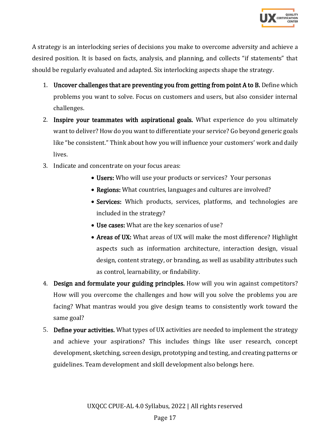

A strategy is an interlocking series of decisions you make to overcome adversity and achieve a desired position. It is based on facts, analysis, and planning, and collects "if statements" that should be regularly evaluated and adapted. Six interlocking aspects shape the strategy.

- 1. Uncover challenges that are preventing you from getting from point A to B. Define which problems you want to solve. Focus on customers and users, but also consider internal challenges.
- 2. Inspire your teammates with aspirational goals. What experience do you ultimately want to deliver? How do you want to differentiate your service? Go beyond generic goals like "be consistent." Think about how you will influence your customers' work and daily lives.
- 3. Indicate and concentrate on your focus areas:
	- Users: Who will use your products or services? Your personas
	- Regions: What countries, languages and cultures are involved?
	- Services: Which products, services, platforms, and technologies are included in the strategy?
	- Use cases: What are the key scenarios of use?
	- Areas of UX: What areas of UX will make the most difference? Highlight aspects such as information architecture, interaction design, visual design, content strategy, or branding, as well as usability attributes such as control, learnability, or findability.
- 4. Design and formulate your guiding principles. How will you win against competitors? How will you overcome the challenges and how will you solve the problems you are facing? What mantras would you give design teams to consistently work toward the same goal?
- 5. Define your activities. What types of UX activities are needed to implement the strategy and achieve your aspirations? This includes things like user research, concept development, sketching, screen design, prototyping and testing, and creating patterns or guidelines. Team development and skill development also belongs here.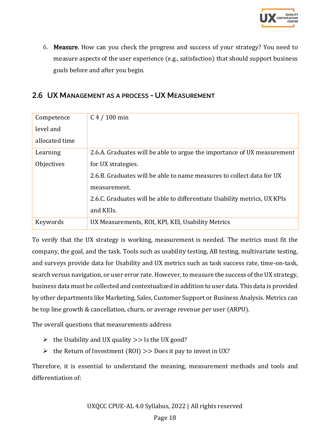

6. Measure. How can you check the progress and success of your strategy? You need to measure aspects of the user experience (e.g., satisfaction) that should support business goals before and after you begin.

#### <span id="page-17-0"></span>2.6 UX MANAGEMENT AS A PROCESS - UX MEASUREMENT

| Competence     | $C$ 4 / 100 min                                                           |
|----------------|---------------------------------------------------------------------------|
| level and      |                                                                           |
| allocated time |                                                                           |
| Learning       | 2.6.A. Graduates will be able to argue the importance of UX measurement   |
| Objectives     | for UX strategies.                                                        |
|                | 2.6.B. Graduates will be able to name measures to collect data for UX     |
|                | measurement.                                                              |
|                | 2.6.C. Graduates will be able to differentiate Usability metrics, UX KPIs |
|                | and KEIs.                                                                 |
| Keywords       | UX Measurements, ROI, KPI, KEI, Usability Metrics                         |

To verify that the UX strategy is working, measurement is needed. The metrics must fit the company, the goal, and the task. Tools such as usability testing, AB testing, multivariate testing, and surveys provide data for Usability and UX metrics such as task success rate, time-on-task, search versus navigation, or user error rate. However, to measure the success of the UX strategy, business data must be collected and contextualized in addition to user data. This data is provided by other departments like Marketing, Sales, Customer Support or Business Analysis. Metrics can be top line growth & cancellation, churn, or average revenue per user (ARPU).

The overall questions that measurements address

- $\triangleright$  the Usability and UX quality  $\triangleright$  is the UX good?
- $\triangleright$  the Return of Investment (ROI)  $\triangleright$  Does it pay to invest in UX?

Therefore, it is essential to understand the meaning, measurement methods and tools and differentiation of: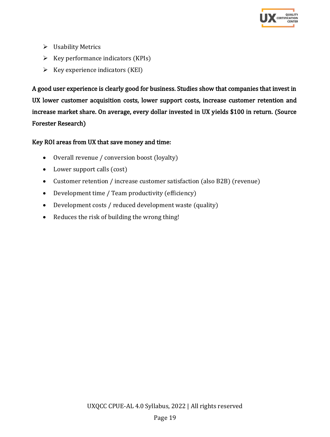

- ➢ Usability Metrics
- $\triangleright$  Key performance indicators (KPIs)
- $\triangleright$  Key experience indicators (KEI)

A good user experience is clearly good for business. Studies show that companies that invest in UX lower customer acquisition costs, lower support costs, increase customer retention and increase market share. On average, every dollar invested in UX yields \$100 in return. (Source Forester Research)

#### Key ROI areas from UX that save money and time:

- Overall revenue / conversion boost (loyalty)
- Lower support calls (cost)
- Customer retention / increase customer satisfaction (also B2B) (revenue)
- Development time / Team productivity (efficiency)
- Development costs / reduced development waste (quality)
- Reduces the risk of building the wrong thing!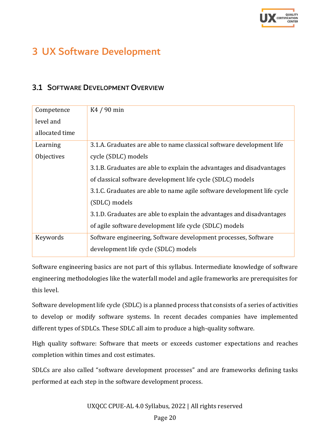

# <span id="page-19-0"></span>3 UX Software Development

### <span id="page-19-1"></span>3.1 SOFTWARE DEVELOPMENT OVERVIEW

| Competence     | K4 / 90 min                                                             |
|----------------|-------------------------------------------------------------------------|
| level and      |                                                                         |
| allocated time |                                                                         |
| Learning       | 3.1.A. Graduates are able to name classical software development life   |
| Objectives     | cycle (SDLC) models                                                     |
|                | 3.1.B. Graduates are able to explain the advantages and disadvantages   |
|                | of classical software development life cycle (SDLC) models              |
|                | 3.1.C. Graduates are able to name agile software development life cycle |
|                | (SDLC) models                                                           |
|                | 3.1.D. Graduates are able to explain the advantages and disadvantages   |
|                | of agile software development life cycle (SDLC) models                  |
| Keywords       | Software engineering, Software development processes, Software          |
|                | development life cycle (SDLC) models                                    |

Software engineering basics are not part of this syllabus. Intermediate knowledge of software engineering methodologies like the waterfall model and agile frameworks are prerequisites for this level.

Software development life cycle (SDLC) is a planned process that consists of a series of activities to develop or modify software systems. In recent decades companies have implemented different types of SDLCs. These SDLC all aim to produce a high-quality software.

High quality software: Software that meets or exceeds customer expectations and reaches completion within times and cost estimates.

SDLCs are also called "software development processes" and are frameworks defining tasks performed at each step in the software development process.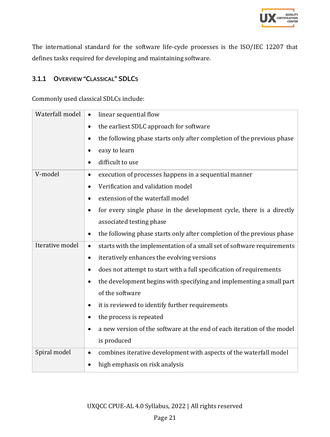

The international standard for the software life-cycle processes is the ISO/IEC 12207 that defines tasks required for developing and maintaining software.

### <span id="page-20-0"></span>3.1.1 OVERVIEW "CLASSICAL" SDLCS

Commonly used classical SDLCs include:

| Waterfall model | linear sequential flow<br>$\bullet$                                                 |
|-----------------|-------------------------------------------------------------------------------------|
|                 | the earliest SDLC approach for software<br>$\bullet$                                |
|                 | the following phase starts only after completion of the previous phase<br>$\bullet$ |
|                 | easy to learn<br>٠                                                                  |
|                 | difficult to use<br>$\bullet$                                                       |
| V-model         | execution of processes happens in a sequential manner<br>$\bullet$                  |
|                 | Verification and validation model<br>$\bullet$                                      |
|                 | extension of the waterfall model<br>$\bullet$                                       |
|                 | for every single phase in the development cycle, there is a directly<br>٠           |
|                 | associated testing phase                                                            |
|                 | the following phase starts only after completion of the previous phase<br>$\bullet$ |
| Iterative model | starts with the implementation of a small set of software requirements<br>$\bullet$ |
|                 | iteratively enhances the evolving versions<br>$\bullet$                             |
|                 | does not attempt to start with a full specification of requirements<br>$\bullet$    |
|                 | the development begins with specifying and implementing a small part<br>٠           |
|                 | of the software                                                                     |
|                 | it is reviewed to identify further requirements<br>$\bullet$                        |
|                 | the process is repeated<br>٠                                                        |
|                 | a new version of the software at the end of each iteration of the model             |
|                 | is produced                                                                         |
| Spiral model    | combines iterative development with aspects of the waterfall model<br>$\bullet$     |
|                 | high emphasis on risk analysis<br>٠                                                 |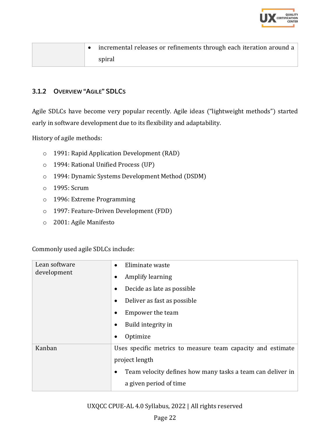

|  | incremental releases or refinements through each iteration around a |
|--|---------------------------------------------------------------------|
|  | spiral                                                              |

#### <span id="page-21-0"></span>3.1.2 OVERVIEW "AGILE" SDLCS

Agile SDLCs have become very popular recently. Agile ideas ("lightweight methods") started early in software development due to its flexibility and adaptability.

History of agile methods:

- o 1991: Rapid Application Development (RAD)
- o 1994: Rational Unified Process (UP)
- o 1994: Dynamic Systems Development Method (DSDM)
- o 1995: Scrum
- o 1996: Extreme Programming
- o 1997: Feature-Driven Development (FDD)
- o 2001: Agile Manifesto

Commonly used agile SDLCs include:

| Lean software<br>development | Eliminate waste<br>$\bullet$<br>Amplify learning<br>٠<br>Decide as late as possible<br>٠<br>Deliver as fast as possible<br>٠                                               |
|------------------------------|----------------------------------------------------------------------------------------------------------------------------------------------------------------------------|
|                              | Empower the team<br>Build integrity in<br>Optimize<br>٠                                                                                                                    |
| Kanban                       | Uses specific metrics to measure team capacity and estimate<br>project length<br>Team velocity defines how many tasks a team can deliver in<br>٠<br>a given period of time |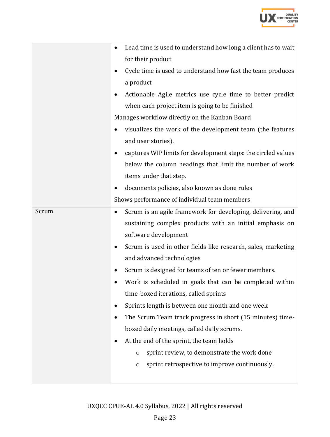

|       | Lead time is used to understand how long a client has to wait      |
|-------|--------------------------------------------------------------------|
|       | for their product                                                  |
|       | Cycle time is used to understand how fast the team produces        |
|       | a product                                                          |
|       | Actionable Agile metrics use cycle time to better predict          |
|       | when each project item is going to be finished                     |
|       | Manages workflow directly on the Kanban Board                      |
|       | visualizes the work of the development team (the features<br>٠     |
|       | and user stories).                                                 |
|       | captures WIP limits for development steps: the circled values      |
|       | below the column headings that limit the number of work            |
|       | items under that step.                                             |
|       | documents policies, also known as done rules                       |
|       | Shows performance of individual team members                       |
| Scrum | Scrum is an agile framework for developing, delivering, and<br>٠   |
|       | sustaining complex products with an initial emphasis on            |
|       | software development                                               |
|       | Scrum is used in other fields like research, sales, marketing<br>٠ |
|       | and advanced technologies                                          |
|       | Scrum is designed for teams of ten or fewer members.               |
|       | Work is scheduled in goals that can be completed within            |
|       | time-boxed iterations, called sprints                              |
|       | Sprints length is between one month and one week                   |
|       | The Scrum Team track progress in short (15 minutes) time-          |
|       | boxed daily meetings, called daily scrums.                         |
|       | At the end of the sprint, the team holds                           |
|       | sprint review, to demonstrate the work done<br>O                   |
|       | sprint retrospective to improve continuously.<br>$\circ$           |
|       |                                                                    |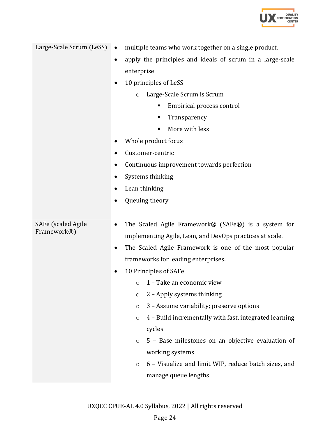

| Large-Scale Scrum (LeSS) | multiple teams who work together on a single product.<br>$\bullet$     |
|--------------------------|------------------------------------------------------------------------|
|                          | apply the principles and ideals of scrum in a large-scale<br>$\bullet$ |
|                          | enterprise                                                             |
|                          | 10 principles of LeSS                                                  |
|                          | Large-Scale Scrum is Scrum<br>$\circ$                                  |
|                          | Empirical process control                                              |
|                          | Transparency                                                           |
|                          | More with less<br>٠                                                    |
|                          | Whole product focus                                                    |
|                          | Customer-centric                                                       |
|                          | Continuous improvement towards perfection                              |
|                          | Systems thinking                                                       |
|                          | Lean thinking                                                          |
|                          | Queuing theory                                                         |
|                          |                                                                        |
| SAFe (scaled Agile       | The Scaled Agile Framework® (SAFe®) is a system for<br>$\bullet$       |
| Framework <sup>®</sup> ) | implementing Agile, Lean, and DevOps practices at scale.               |
|                          | The Scaled Agile Framework is one of the most popular                  |
|                          | frameworks for leading enterprises.                                    |
|                          | 10 Principles of SAFe                                                  |
|                          | 1 - Take an economic view<br>$\circ$                                   |
|                          | 2 - Apply systems thinking<br>$\circ$                                  |
|                          | 3 - Assume variability; preserve options<br>$\circ$                    |
|                          | 4 - Build incrementally with fast, integrated learning<br>$\circ$      |
|                          | cycles                                                                 |
|                          | 5 - Base milestones on an objective evaluation of<br>$\circ$           |
|                          | working systems                                                        |
|                          | 6 - Visualize and limit WIP, reduce batch sizes, and<br>O              |
|                          | manage queue lengths                                                   |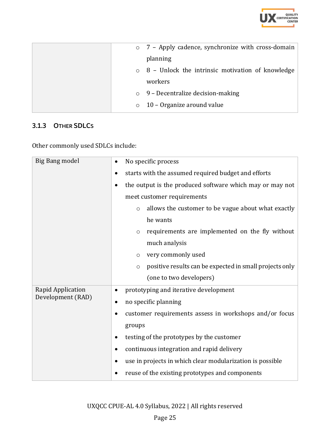

|  | $\circ$ 7 – Apply cadence, synchronize with cross-domain |
|--|----------------------------------------------------------|
|  | planning                                                 |
|  | $\circ$ 8 – Unlock the intrinsic motivation of knowledge |
|  | workers                                                  |
|  | $\circ$ 9 – Decentralize decision-making                 |
|  | $\circ$ 10 – Organize around value                       |

# <span id="page-24-0"></span>3.1.3 OTHER SDLCS

Other commonly used SDLCs include:

| Big Bang model    | No specific process                                                |
|-------------------|--------------------------------------------------------------------|
|                   | starts with the assumed required budget and efforts<br>٠           |
|                   | the output is the produced software which may or may not           |
|                   | meet customer requirements                                         |
|                   | allows the customer to be vague about what exactly<br>$\circ$      |
|                   | he wants                                                           |
|                   | requirements are implemented on the fly without<br>O               |
|                   | much analysis                                                      |
|                   | very commonly used<br>$\circ$                                      |
|                   | positive results can be expected in small projects only<br>$\circ$ |
|                   | (one to two developers)                                            |
| Rapid Application | prototyping and iterative development<br>٠                         |
| Development (RAD) | no specific planning                                               |
|                   | customer requirements assess in workshops and/or focus             |
|                   | groups                                                             |
|                   | testing of the prototypes by the customer                          |
|                   | continuous integration and rapid delivery                          |
|                   | use in projects in which clear modularization is possible          |
|                   | reuse of the existing prototypes and components                    |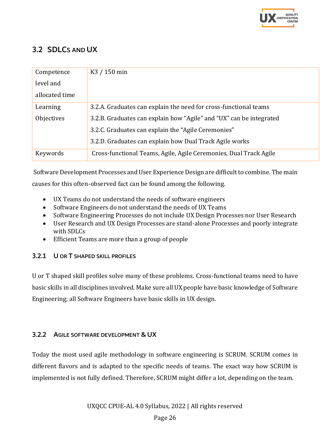

# <span id="page-25-0"></span>3.2 SDLCS AND UX

| Competence     | K <sub>3</sub> / 150 min                                            |
|----------------|---------------------------------------------------------------------|
| level and      |                                                                     |
| allocated time |                                                                     |
| Learning       | 3.2.A. Graduates can explain the need for cross-functional teams    |
| Objectives     | 3.2.B. Graduates can explain how "Agile" and "UX" can be integrated |
|                | 3.2.C. Graduates can explain the "Agile Ceremonies"                 |
|                | 3.2.D. Graduates can explain how Dual Track Agile works             |
| Keywords       | Cross-functional Teams, Agile, Agile Ceremonies, Dual Track Agile   |

Software Development Processes and User Experience Design are difficult to combine. The main

causes for this often-observed fact can be found among the following.

- UX Teams do not understand the needs of software engineers
- Software Engineers do not understand the needs of UX Teams
- Software Engineering Processes do not include UX Design Processes nor User Research
- User Research and UX Design Processes are stand-alone Processes and poorly integrate with SDLCs
- Efficient Teams are more than a group of people

#### <span id="page-25-1"></span>3.2.1 U OR T SHAPED SKILL PROFILES

U or T shaped skill profiles solve many of these problems. Cross-functional teams need to have basic skills in all disciplines involved. Make sure all UX people have basic knowledge of Software Engineering; all Software Engineers have basic skills in UX design.

#### <span id="page-25-2"></span>3.2.2 AGILE SOFTWARE DEVELOPMENT & UX

Today the most used agile methodology in software engineering is SCRUM. SCRUM comes in different flavors and is adapted to the specific needs of teams. The exact way how SCRUM is implemented is not fully defined. Therefore, SCRUM might differ a lot, depending on the team.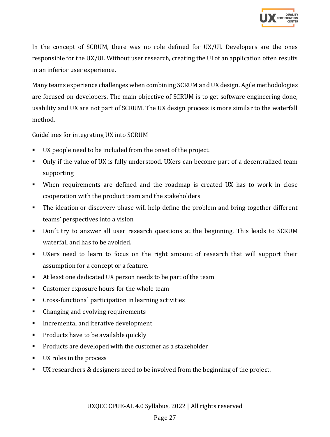

In the concept of SCRUM, there was no role defined for UX/UI. Developers are the ones responsible for the UX/UI. Without user research, creating the UI of an application often results in an inferior user experience.

Many teams experience challenges when combining SCRUM and UX design. Agile methodologies are focused on developers. The main objective of SCRUM is to get software engineering done, usability and UX are not part of SCRUM. The UX design process is more similar to the waterfall method.

Guidelines for integrating UX into SCRUM

- UX people need to be included from the onset of the project.
- Only if the value of UX is fully understood, UXers can become part of a decentralized team supporting
- When requirements are defined and the roadmap is created UX has to work in close cooperation with the product team and the stakeholders
- The ideation or discovery phase will help define the problem and bring together different teams' perspectives into a vision
- Don´t try to answer all user research questions at the beginning. This leads to SCRUM waterfall and has to be avoided.
- UXers need to learn to focus on the right amount of research that will support their assumption for a concept or a feature.
- At least one dedicated UX person needs to be part of the team
- Customer exposure hours for the whole team
- Cross-functional participation in learning activities
- Changing and evolving requirements
- Incremental and iterative development
- Products have to be available quickly
- Products are developed with the customer as a stakeholder
- UX roles in the process
- UX researchers & designers need to be involved from the beginning of the project.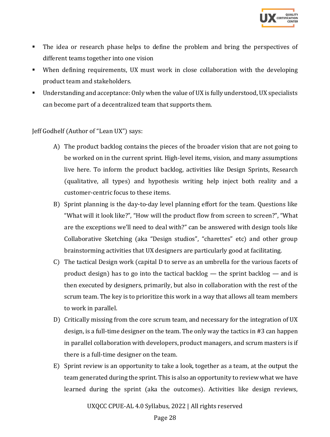

- The idea or research phase helps to define the problem and bring the perspectives of different teams together into one vision
- When defining requirements, UX must work in close collaboration with the developing product team and stakeholders.
- Understanding and acceptance: Only when the value of UX is fully understood, UX specialists can become part of a decentralized team that supports them.

Jeff Godhelf (Author of "Lean UX") says:

- A) The product backlog contains the pieces of the broader vision that are not going to be worked on in the current sprint. High-level items, vision, and many assumptions live here. To inform the product backlog, activities like Design Sprints, Research (qualitative, all types) and hypothesis writing help inject both reality and a customer-centric focus to these items.
- B) Sprint planning is the day-to-day level planning effort for the team. Questions like "What will it look like?", "How will the product flow from screen to screen?", "What are the exceptions we'll need to deal with?" can be answered with design tools like Collaborative Sketching (aka "Design studios", "charettes" etc) and other group brainstorming activities that UX designers are particularly good at facilitating.
- C) The tactical Design work (capital D to serve as an umbrella for the various facets of product design) has to go into the tactical backlog — the sprint backlog — and is then executed by designers, primarily, but also in collaboration with the rest of the scrum team. The key is to prioritize this work in a way that allows all team members to work in parallel.
- D) Critically missing from the core scrum team, and necessary for the integration of UX design, is a full-time designer on the team. The only way the tactics in #3 can happen in parallel collaboration with developers, product managers, and scrum masters is if there is a full-time designer on the team.
- E) Sprint review is an opportunity to take a look, together as a team, at the output the team generated during the sprint. This is also an opportunity to review what we have learned during the sprint (aka the outcomes). Activities like design reviews,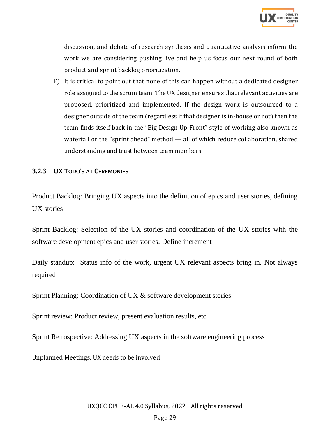

discussion, and debate of research synthesis and quantitative analysis inform the work we are considering pushing live and help us focus our next round of both product and sprint backlog prioritization.

F) It is critical to point out that none of this can happen without a dedicated designer role assigned to the scrum team. The UX designer ensures that relevant activities are proposed, prioritized and implemented. If the design work is outsourced to a designer outside of the team (regardless if that designer is in-house or not) then the team finds itself back in the "Big Design Up Front" style of working also known as waterfall or the "sprint ahead" method — all of which reduce collaboration, shared understanding and trust between team members.

#### <span id="page-28-0"></span>3.2.3 UX TODO'S AT CEREMONIES

Product Backlog: Bringing UX aspects into the definition of epics and user stories, defining UX stories

Sprint Backlog: Selection of the UX stories and coordination of the UX stories with the software development epics and user stories. Define increment

Daily standup: Status info of the work, urgent UX relevant aspects bring in. Not always required

Sprint Planning: Coordination of UX & software development stories

Sprint review: Product review, present evaluation results, etc.

Sprint Retrospective: Addressing UX aspects in the software engineering process

Unplanned Meetings: UX needs to be involved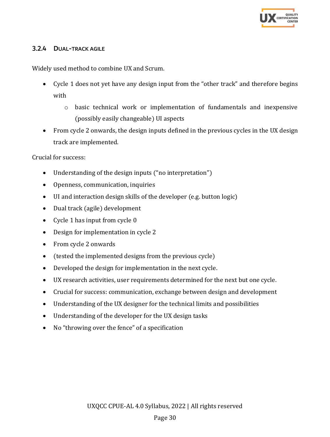

#### <span id="page-29-0"></span>3.2.4 DUAL-TRACK AGILE

Widely used method to combine UX and Scrum.

- Cycle 1 does not yet have any design input from the "other track" and therefore begins with
	- $\circ$  basic technical work or implementation of fundamentals and inexpensive (possibly easily changeable) UI aspects
- From cycle 2 onwards, the design inputs defined in the previous cycles in the UX design track are implemented.

Crucial for success:

- Understanding of the design inputs ("no interpretation")
- Openness, communication, inquiries
- UI and interaction design skills of the developer (e.g. button logic)
- Dual track (agile) development
- Cycle 1 has input from cycle 0
- Design for implementation in cycle 2
- From cycle 2 onwards
- (tested the implemented designs from the previous cycle)
- Developed the design for implementation in the next cycle.
- UX research activities, user requirements determined for the next but one cycle.
- Crucial for success: communication, exchange between design and development
- Understanding of the UX designer for the technical limits and possibilities
- Understanding of the developer for the UX design tasks
- No "throwing over the fence" of a specification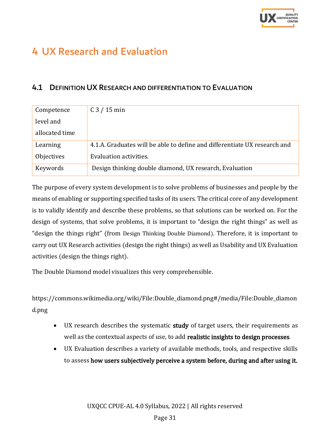

# <span id="page-30-0"></span>4 UX Research and Evaluation

### <span id="page-30-1"></span>4.1 DEFINITION UX RESEARCH AND DIFFERENTIATION TO EVALUATION

| Competence     | $C3 / 15$ min                                                             |
|----------------|---------------------------------------------------------------------------|
| level and      |                                                                           |
| allocated time |                                                                           |
| Learning       | 4.1.A. Graduates will be able to define and differentiate UX research and |
| Objectives     | Evaluation activities.                                                    |
| Keywords       | Design thinking double diamond, UX research, Evaluation                   |

The purpose of every system development is to solve problems of businesses and people by the means of enabling or supporting specified tasks of its users. The critical core of any development is to validly identify and describe these problems, so that solutions can be worked on. For the design of systems, that solve problems, it is important to "design the right things" as well as "design the things right" (from Design Thinking Double Diamond). Therefore, it is important to carry out UX Research activities (design the right things) as well as Usability and UX Evaluation activities (design the things right).

The Double Diamond model visualizes this very comprehensible.

https://commons.wikimedia.org/wiki/File:Double\_diamond.png#/media/File:Double\_diamon d.png

- UX research describes the systematic **study** of target users, their requirements as well as the contextual aspects of use, to add realistic insights to design processes.
- UX Evaluation describes a variety of available methods, tools, and respective skills to assess how users subjectively perceive a system before, during and after using it.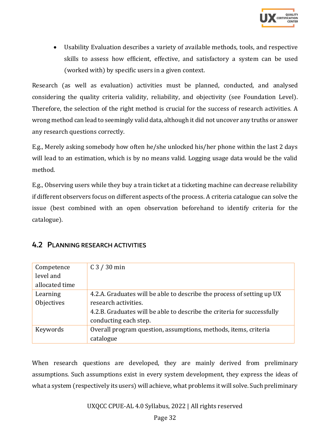

• Usability Evaluation describes a variety of available methods, tools, and respective skills to assess how efficient, effective, and satisfactory a system can be used (worked with) by specific users in a given context.

Research (as well as evaluation) activities must be planned, conducted, and analysed considering the quality criteria validity, reliability, and objectivity (see Foundation Level). Therefore, the selection of the right method is crucial for the success of research activities. A wrong method can lead to seemingly valid data, although it did not uncover any truths or answer any research questions correctly.

E.g., Merely asking somebody how often he/she unlocked his/her phone within the last 2 days will lead to an estimation, which is by no means valid. Logging usage data would be the valid method.

E.g., Observing users while they buy a train ticket at a ticketing machine can decrease reliability if different observers focus on different aspects of the process. A criteria catalogue can solve the issue (best combined with an open observation beforehand to identify criteria for the catalogue).

| Competence     | $C3 / 30$ min                                                           |
|----------------|-------------------------------------------------------------------------|
| level and      |                                                                         |
| allocated time |                                                                         |
| Learning       | 4.2.A. Graduates will be able to describe the process of setting up UX  |
| Objectives     | research activities.                                                    |
|                | 4.2.B. Graduates will be able to describe the criteria for successfully |
|                | conducting each step.                                                   |
| Keywords       | Overall program question, assumptions, methods, items, criteria         |
|                | catalogue                                                               |

### <span id="page-31-0"></span>4.2 PLANNING RESEARCH ACTIVITIES

When research questions are developed, they are mainly derived from preliminary assumptions. Such assumptions exist in every system development, they express the ideas of what a system (respectively its users) will achieve, what problems it will solve. Such preliminary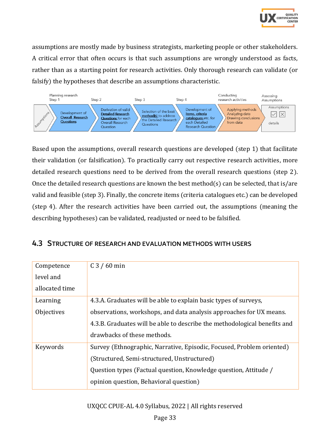

assumptions are mostly made by business strategists, marketing people or other stakeholders. A critical error that often occurs is that such assumptions are wrongly understood as facts, rather than as a starting point for research activities. Only thorough research can validate (or falsify) the hypotheses that describe an assumptions characteristic.



Based upon the assumptions, overall research questions are developed (step 1) that facilitate their validation (or falsification). To practically carry out respective research activities, more detailed research questions need to be derived from the overall research questions (step 2). Once the detailed research questions are known the best method(s) can be selected, that is/are valid and feasible (step 3). Finally, the concrete items (criteria catalogues etc.) can be developed (step 4). After the research activities have been carried out, the assumptions (meaning the describing hypotheses) can be validated, readjusted or need to be falsified.

<span id="page-32-0"></span>

| 4.3 STRUCTURE OF RESEARCH AND EVALUATION METHODS WITH USERS |  |
|-------------------------------------------------------------|--|
|-------------------------------------------------------------|--|

| Competence     | $C3 / 60$ min                                                             |
|----------------|---------------------------------------------------------------------------|
| level and      |                                                                           |
| allocated time |                                                                           |
| Learning       | 4.3.A. Graduates will be able to explain basic types of surveys,          |
| Objectives     | observations, workshops, and data analysis approaches for UX means.       |
|                | 4.3.B. Graduates will be able to describe the methodological benefits and |
|                | drawbacks of these methods.                                               |
| Keywords       | Survey (Ethnographic, Narrative, Episodic, Focused, Problem oriented)     |
|                | (Structured, Semi-structured, Unstructured)                               |
|                | Question types (Factual question, Knowledge question, Attitude /          |
|                | opinion question, Behavioral question)                                    |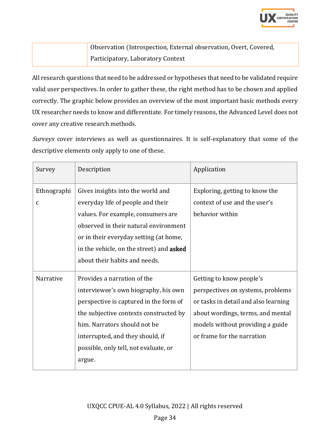

Observation (Introspection, External observation, Overt, Covered, Participatory, Laboratory Context

All research questions that need to be addressed or hypotheses that need to be validated require valid user perspectives. In order to gather these, the right method has to be chosen and applied correctly. The graphic below provides an overview of the most important basic methods every UX researcher needs to know and differentiate. For timely reasons, the Advanced Level does not cover any creative research methods.

Surveys cover interviews as well as questionnaires. It is self-explanatory that some of the descriptive elements only apply to one of these.

| Survey                      | Description                                                                                                                                                                                                                                                                    | Application                                                                                                                                                                                                  |
|-----------------------------|--------------------------------------------------------------------------------------------------------------------------------------------------------------------------------------------------------------------------------------------------------------------------------|--------------------------------------------------------------------------------------------------------------------------------------------------------------------------------------------------------------|
| Ethnographi<br>$\mathbf{C}$ | Gives insights into the world and<br>everyday life of people and their<br>values. For example, consumers are<br>observed in their natural environment<br>or in their everyday setting (at home,<br>in the vehicle, on the street) and asked<br>about their habits and needs.   | Exploring, getting to know the<br>context of use and the user's<br>behavior within                                                                                                                           |
| Narrative                   | Provides a narration of the<br>interviewee's own biography, his own<br>perspective is captured in the form of<br>the subjective contexts constructed by<br>him. Narrators should not be<br>interrupted, and they should, if<br>possible, only tell, not evaluate, or<br>argue. | Getting to know people's<br>perspectives on systems, problems<br>or tasks in detail and also learning<br>about wordings, terms, and mental<br>models without providing a guide<br>or frame for the narration |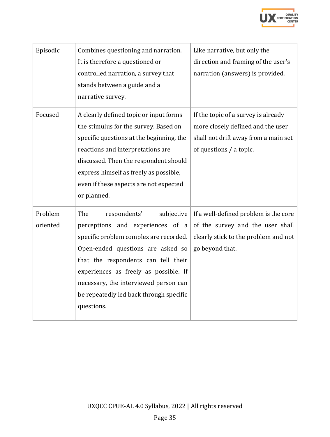

| Episodic            | Combines questioning and narration.<br>It is therefore a questioned or<br>controlled narration, a survey that<br>stands between a guide and a<br>narrative survey.                                                                                                                                                                     | Like narrative, but only the<br>direction and framing of the user's<br>narration (answers) is provided.                                     |
|---------------------|----------------------------------------------------------------------------------------------------------------------------------------------------------------------------------------------------------------------------------------------------------------------------------------------------------------------------------------|---------------------------------------------------------------------------------------------------------------------------------------------|
| Focused             | A clearly defined topic or input forms<br>the stimulus for the survey. Based on<br>specific questions at the beginning, the<br>reactions and interpretations are<br>discussed. Then the respondent should<br>express himself as freely as possible,<br>even if these aspects are not expected<br>or planned.                           | If the topic of a survey is already<br>more closely defined and the user<br>shall not drift away from a main set<br>of questions / a topic. |
| Problem<br>oriented | The<br>respondents'<br>subjective<br>perceptions and experiences of a<br>specific problem complex are recorded.<br>Open-ended questions are asked so<br>that the respondents can tell their<br>experiences as freely as possible. If<br>necessary, the interviewed person can<br>be repeatedly led back through specific<br>questions. | If a well-defined problem is the core<br>of the survey and the user shall<br>clearly stick to the problem and not<br>go beyond that.        |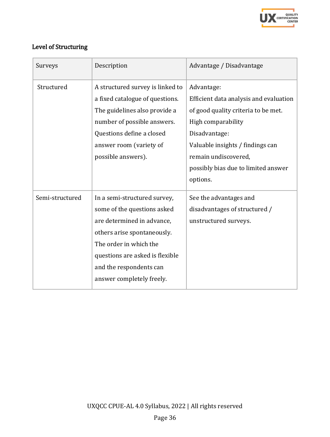

# Level of Structuring

| Surveys         | Description                                                                                                                                                                                                                                   | Advantage / Disadvantage                                                                                                                                                                                                                          |
|-----------------|-----------------------------------------------------------------------------------------------------------------------------------------------------------------------------------------------------------------------------------------------|---------------------------------------------------------------------------------------------------------------------------------------------------------------------------------------------------------------------------------------------------|
| Structured      | A structured survey is linked to<br>a fixed catalogue of questions.<br>The guidelines also provide a<br>number of possible answers.<br>Questions define a closed<br>answer room (variety of<br>possible answers).                             | Advantage:<br>Efficient data analysis and evaluation<br>of good quality criteria to be met.<br>High comparability<br>Disadvantage:<br>Valuable insights / findings can<br>remain undiscovered,<br>possibly bias due to limited answer<br>options. |
| Semi-structured | In a semi-structured survey,<br>some of the questions asked<br>are determined in advance,<br>others arise spontaneously.<br>The order in which the<br>questions are asked is flexible<br>and the respondents can<br>answer completely freely. | See the advantages and<br>disadvantages of structured /<br>unstructured surveys.                                                                                                                                                                  |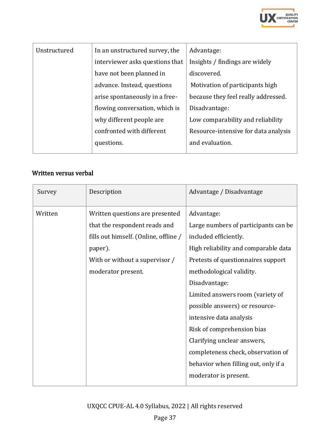

| Unstructured | In an unstructured survey, the  | Advantage:                           |
|--------------|---------------------------------|--------------------------------------|
|              | interviewer asks questions that | Insights / findings are widely       |
|              | have not been planned in        | discovered.                          |
|              | advance. Instead, questions     | Motivation of participants high      |
|              | arise spontaneously in a free-  | because they feel really addressed.  |
|              | flowing conversation, which is  | Disadvantage:                        |
|              | why different people are        | Low comparability and reliability    |
|              | confronted with different       | Resource-intensive for data analysis |
|              | questions.                      | and evaluation.                      |
|              |                                 |                                      |

#### Written versus verbal

| Description                           | Advantage / Disadvantage              |
|---------------------------------------|---------------------------------------|
| Written questions are presented       | Advantage:                            |
| that the respondent reads and         | Large numbers of participants can be. |
| fills out himself. (Online, offline / | included efficiently.                 |
| paper).                               | High reliability and comparable data  |
| With or without a supervisor /        | Pretests of questionnaires support    |
| moderator present.                    | methodological validity.              |
|                                       | Disadvantage:                         |
|                                       | Limited answers room (variety of      |
|                                       | possible answers) or resource-        |
|                                       | intensive data analysis               |
|                                       | Risk of comprehension bias            |
|                                       | Clarifying unclear answers,           |
|                                       | completeness check, observation of    |
|                                       | behavior when filling out, only if a  |
|                                       | moderator is present.                 |
|                                       |                                       |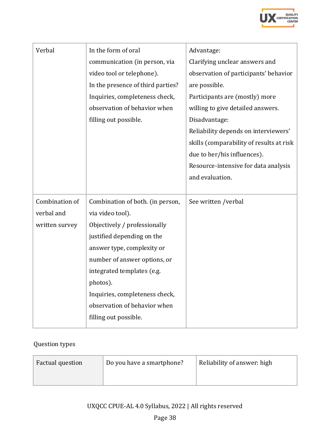

| Verbal         | In the form of oral               | Advantage:                               |
|----------------|-----------------------------------|------------------------------------------|
|                | communication (in person, via     | Clarifying unclear answers and           |
|                | video tool or telephone).         | observation of participants' behavior    |
|                | In the presence of third parties? | are possible.                            |
|                | Inquiries, completeness check,    | Participants are (mostly) more           |
|                | observation of behavior when      | willing to give detailed answers.        |
|                | filling out possible.             | Disadvantage:                            |
|                |                                   | Reliability depends on interviewers'     |
|                |                                   | skills (comparability of results at risk |
|                |                                   | due to her/his influences).              |
|                |                                   | Resource-intensive for data analysis     |
|                |                                   | and evaluation.                          |
|                |                                   |                                          |
| Combination of | Combination of both. (in person,  | See written /verbal                      |
| verbal and     | via video tool).                  |                                          |
| written survey | Objectively / professionally      |                                          |
|                | justified depending on the        |                                          |
|                | answer type, complexity or        |                                          |
|                | number of answer options, or      |                                          |
|                | integrated templates (e.g.        |                                          |
|                | photos).                          |                                          |
|                | Inquiries, completeness check,    |                                          |
|                | observation of behavior when      |                                          |
|                |                                   |                                          |
|                | filling out possible.             |                                          |

# Question types

| Factual question | Do you have a smartphone? | Reliability of answer: high |
|------------------|---------------------------|-----------------------------|
|                  |                           |                             |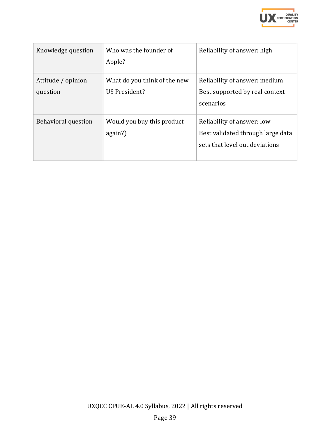

| Knowledge question             | Who was the founder of<br>Apple?              | Reliability of answer: high                                                                       |
|--------------------------------|-----------------------------------------------|---------------------------------------------------------------------------------------------------|
| Attitude / opinion<br>question | What do you think of the new<br>US President? | Reliability of answer: medium<br>Best supported by real context<br>scenarios                      |
| <b>Behavioral question</b>     | Would you buy this product<br>again?)         | Reliability of answer: low<br>Best validated through large data<br>sets that level out deviations |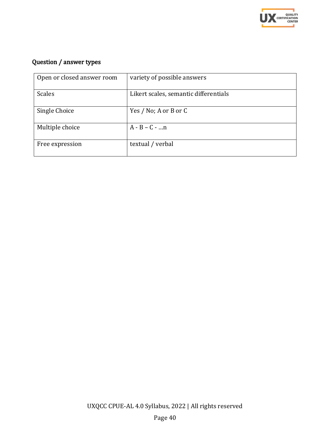

# Question / answer types

| Open or closed answer room | variety of possible answers           |
|----------------------------|---------------------------------------|
| <b>Scales</b>              | Likert scales, semantic differentials |
| Single Choice              | Yes / No; A or B or C                 |
| Multiple choice            | $A - B - C -  n$                      |
| Free expression            | textual / verbal                      |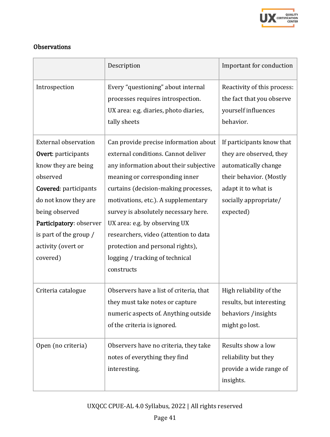

### **Observations**

|                                                                                                                                                        | Description                                                                                                                                                                                                                                                                                                          | Important for conduction                                                                     |
|--------------------------------------------------------------------------------------------------------------------------------------------------------|----------------------------------------------------------------------------------------------------------------------------------------------------------------------------------------------------------------------------------------------------------------------------------------------------------------------|----------------------------------------------------------------------------------------------|
| Introspection                                                                                                                                          | Every "questioning" about internal<br>processes requires introspection.<br>UX area: e.g. diaries, photo diaries,<br>tally sheets                                                                                                                                                                                     | Reactivity of this process:<br>the fact that you observe<br>yourself influences<br>behavior. |
| <b>External observation</b><br>Overt: participants                                                                                                     | Can provide precise information about<br>external conditions. Cannot deliver                                                                                                                                                                                                                                         | If participants know that<br>they are observed, they                                         |
| know they are being<br>observed                                                                                                                        | any information about their subjective                                                                                                                                                                                                                                                                               | automatically change                                                                         |
| Covered: participants<br>do not know they are<br>being observed<br>Participatory: observer<br>is part of the group /<br>activity (overt or<br>covered) | meaning or corresponding inner<br>curtains (decision-making processes,<br>motivations, etc.). A supplementary<br>survey is absolutely necessary here.<br>UX area: e.g. by observing UX<br>researchers, video (attention to data<br>protection and personal rights),<br>logging / tracking of technical<br>constructs | their behavior. (Mostly<br>adapt it to what is<br>socially appropriate/<br>expected)         |
| Criteria catalogue                                                                                                                                     | Observers have a list of criteria, that<br>they must take notes or capture<br>numeric aspects of. Anything outside<br>of the criteria is ignored.                                                                                                                                                                    | High reliability of the<br>results, but interesting<br>behaviors /insights<br>might go lost. |
| Open (no criteria)                                                                                                                                     | Observers have no criteria, they take<br>notes of everything they find<br>interesting.                                                                                                                                                                                                                               | Results show a low<br>reliability but they<br>provide a wide range of<br>insights.           |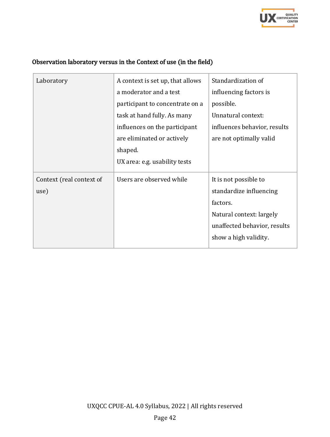

| Laboratory               | A context is set up, that allows | Standardization of           |
|--------------------------|----------------------------------|------------------------------|
|                          | a moderator and a test           | influencing factors is       |
|                          | participant to concentrate on a  | possible.                    |
|                          | task at hand fully. As many      | Unnatural context:           |
|                          | influences on the participant    | influences behavior, results |
|                          | are eliminated or actively       | are not optimally valid      |
|                          | shaped.                          |                              |
|                          | UX area: e.g. usability tests    |                              |
| Context (real context of | Users are observed while         | It is not possible to        |
| use)                     |                                  | standardize influencing      |
|                          |                                  | factors.                     |
|                          |                                  | Natural context: largely     |
|                          |                                  | unaffected behavior, results |
|                          |                                  | show a high validity.        |
|                          |                                  |                              |

# Observation laboratory versus in the Context of use (in the field)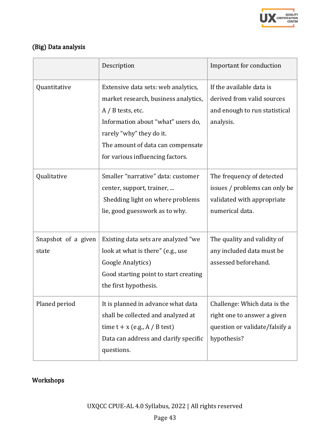

# (Big) Data analysis

|                              | Description                                                                                                                                                                                                                                   | Important for conduction                                                                                     |
|------------------------------|-----------------------------------------------------------------------------------------------------------------------------------------------------------------------------------------------------------------------------------------------|--------------------------------------------------------------------------------------------------------------|
| Quantitative                 | Extensive data sets: web analytics,<br>market research, business analytics,<br>$A / B$ tests, etc.<br>Information about "what" users do,<br>rarely "why" they do it.<br>The amount of data can compensate<br>for various influencing factors. | If the available data is<br>derived from valid sources<br>and enough to run statistical<br>analysis.         |
| Qualitative                  | Smaller "narrative" data: customer<br>center, support, trainer,<br>Shedding light on where problems<br>lie, good guesswork as to why.                                                                                                         | The frequency of detected<br>issues / problems can only be<br>validated with appropriate<br>numerical data.  |
| Snapshot of a given<br>state | Existing data sets are analyzed "we<br>look at what is there" (e.g., use<br>Google Analytics)<br>Good starting point to start creating<br>the first hypothesis.                                                                               | The quality and validity of<br>any included data must be<br>assessed beforehand.                             |
| Planed period                | It is planned in advance what data<br>shall be collected and analyzed at<br>time $t + x$ (e.g., A / B test)<br>Data can address and clarify specific<br>questions.                                                                            | Challenge: Which data is the<br>right one to answer a given<br>question or validate/falsify a<br>hypothesis? |

# Workshops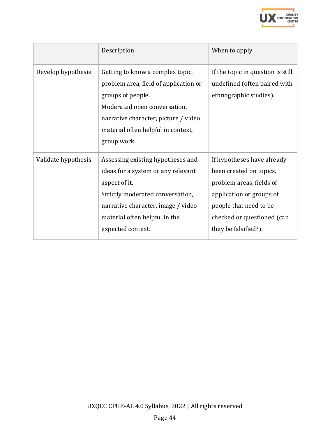

|                     | Description                                                                                                                                                                                                                 | When to apply                                                                                                                                                                                 |
|---------------------|-----------------------------------------------------------------------------------------------------------------------------------------------------------------------------------------------------------------------------|-----------------------------------------------------------------------------------------------------------------------------------------------------------------------------------------------|
| Develop hypothesis  | Getting to know a complex topic,<br>problem area, field of application or<br>groups of people.<br>Moderated open conversation,<br>narrative character, picture / video<br>material often helpful in context,<br>group work. | If the topic in question is still<br>undefined (often paired with<br>ethnographic studies).                                                                                                   |
| Validate hypothesis | Assessing existing hypotheses and<br>ideas for a system or any relevant<br>aspect of it.<br>Strictly moderated conversation,<br>narrative character, image / video<br>material often helpful in the<br>expected context.    | If hypotheses have already<br>been created on topics,<br>problem areas, fields of<br>application or groups of<br>people that need to be<br>checked or questioned (can<br>they be falsified?). |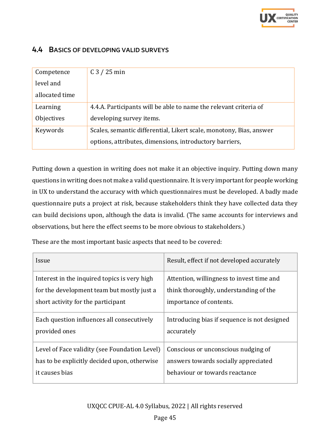

#### <span id="page-44-0"></span>4.4 BASICS OF DEVELOPING VALID SURVEYS

| Competence     | $C3 / 25$ min                                                       |
|----------------|---------------------------------------------------------------------|
| level and      |                                                                     |
| allocated time |                                                                     |
| Learning       | 4.4.A. Participants will be able to name the relevant criteria of   |
| Objectives     | developing survey items.                                            |
| Keywords       | Scales, semantic differential, Likert scale, monotony, Bias, answer |
|                | options, attributes, dimensions, introductory barriers,             |

Putting down a question in writing does not make it an objective inquiry. Putting down many questions in writing does not make a valid questionnaire. It is very important for people working in UX to understand the accuracy with which questionnaires must be developed. A badly made questionnaire puts a project at risk, because stakeholders think they have collected data they can build decisions upon, although the data is invalid. (The same accounts for interviews and observations, but here the effect seems to be more obvious to stakeholders.)

These are the most important basic aspects that need to be covered:

| Issue                                         | Result, effect if not developed accurately   |
|-----------------------------------------------|----------------------------------------------|
| Interest in the inquired topics is very high  | Attention, willingness to invest time and    |
| for the development team but mostly just a    | think thoroughly, understanding of the       |
| short activity for the participant            | importance of contents.                      |
| Each question influences all consecutively    | Introducing bias if sequence is not designed |
| provided ones                                 | accurately                                   |
| Level of Face validity (see Foundation Level) | Conscious or unconscious nudging of          |
| has to be explicitly decided upon, otherwise  | answers towards socially appreciated         |
| it causes bias                                | behaviour or towards reactance               |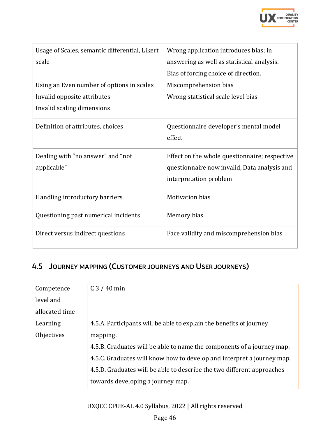

| Usage of Scales, semantic differential, Likert   | Wrong application introduces bias; in                                                                                   |
|--------------------------------------------------|-------------------------------------------------------------------------------------------------------------------------|
| scale                                            | answering as well as statistical analysis.                                                                              |
|                                                  | Bias of forcing choice of direction.                                                                                    |
| Using an Even number of options in scales        | Miscomprehension bias                                                                                                   |
| Invalid opposite attributes                      | Wrong statistical scale level bias                                                                                      |
| Invalid scaling dimensions                       |                                                                                                                         |
| Definition of attributes, choices                | Questionnaire developer's mental model<br>effect                                                                        |
| Dealing with "no answer" and "not<br>applicable" | Effect on the whole questionnaire; respective<br>questionnaire now invalid, Data analysis and<br>interpretation problem |
| Handling introductory barriers                   | <b>Motivation bias</b>                                                                                                  |
| Questioning past numerical incidents             | Memory bias                                                                                                             |
| Direct versus indirect questions                 | Face validity and miscomprehension bias                                                                                 |

# <span id="page-45-0"></span>4.5 JOURNEY MAPPING (CUSTOMER JOURNEYS AND USER JOURNEYS)

| Competence     | $C3 / 40$ min                                                          |
|----------------|------------------------------------------------------------------------|
| level and      |                                                                        |
| allocated time |                                                                        |
| Learning       | 4.5.A. Participants will be able to explain the benefits of journey    |
| Objectives     | mapping.                                                               |
|                | 4.5.B. Graduates will be able to name the components of a journey map. |
|                | 4.5.C. Graduates will know how to develop and interpret a journey map. |
|                | 4.5.D. Graduates will be able to describe the two different approaches |
|                | towards developing a journey map.                                      |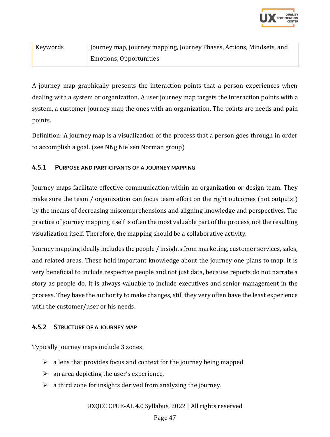

| Keywords | Journey map, journey mapping, Journey Phases, Actions, Mindsets, and |  |
|----------|----------------------------------------------------------------------|--|
|          | <b>Emotions, Opportunities</b>                                       |  |

A journey map graphically presents the interaction points that a person experiences when dealing with a system or organization. A user journey map targets the interaction points with a system, a customer journey map the ones with an organization. The points are needs and pain points.

Definition: A journey map is a visualization of the process that a person goes through in order to accomplish a goal. (see NNg Nielsen Norman group)

#### <span id="page-46-0"></span>4.5.1 PURPOSE AND PARTICIPANTS OF A JOURNEY MAPPING

Journey maps facilitate effective communication within an organization or design team. They make sure the team / organization can focus team effort on the right outcomes (not outputs!) by the means of decreasing miscomprehensions and aligning knowledge and perspectives. The practice of journey mapping itself is often the most valuable part of the process, not the resulting visualization itself. Therefore, the mapping should be a collaborative activity.

Journey mapping ideally includes the people / insights from marketing, customer services, sales, and related areas. These hold important knowledge about the journey one plans to map. It is very beneficial to include respective people and not just data, because reports do not narrate a story as people do. It is always valuable to include executives and senior management in the process. They have the authority to make changes, still they very often have the least experience with the customer/user or his needs.

#### <span id="page-46-1"></span>4.5.2 STRUCTURE OF A JOURNEY MAP

Typically journey maps include 3 zones:

- $\geq$  a lens that provides focus and context for the journey being mapped
- $\triangleright$  an area depicting the user's experience,
- $\geq$  a third zone for insights derived from analyzing the journey.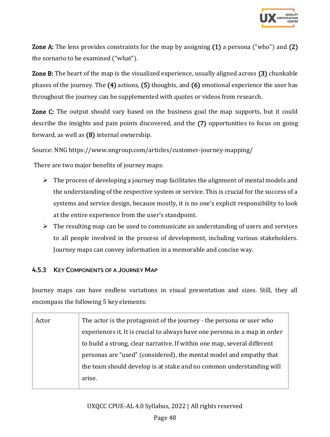

Zone A: The lens provides constraints for the map by assigning (1) a persona ("who") and (2) the scenario to be examined ("what").

Zone B: The heart of the map is the visualized experience, usually aligned across (3) chunkable phases of the journey. The (4) actions, (5) thoughts, and (6) emotional experience the user has throughout the journey can be supplemented with quotes or videos from research.

Zone C: The output should vary based on the business goal the map supports, but it could describe the insights and pain points discovered, and the (7) opportunities to focus on going forward, as well as (8) internal ownership.

Source: NNG https://www.nngroup.com/articles/customer-journey-mapping/

There are two major benefits of journey maps:

- $\triangleright$  The process of developing a journey map facilitates the alignment of mental models and the understanding of the respective system or service. This is crucial for the success of a systems and service design, because mostly, it is no one's explicit responsibility to look at the entire experience from the user's standpoint.
- $\triangleright$  The resulting map can be used to communicate an understanding of users and services to all people involved in the process of development, including various stakeholders. Journey maps can convey information in a memorable and concise way.

#### <span id="page-47-0"></span>4.5.3 KEY COMPONENTS OF A JOURNEY MAP

Journey maps can have endless variations in visual presentation and sizes. Still, they all encompass the following 5 key elements:

| Actor | The actor is the protagonist of the journey - the persona or user who      |
|-------|----------------------------------------------------------------------------|
|       | experiences it. It is crucial to always have one persona in a map in order |
|       | to build a strong, clear narrative. If within one map, several different   |
|       | personas are "used" (considered), the mental model and empathy that        |
|       | the team should develop is at stake and no common understanding will       |
|       | arise.                                                                     |
|       |                                                                            |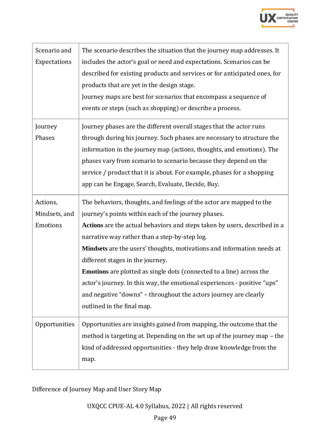

| Scenario and<br>Expectations          | The scenario describes the situation that the journey map addresses. It<br>includes the actor's goal or need and expectations. Scenarios can be<br>described for existing products and services or for anticipated ones, for<br>products that are yet in the design stage.<br>Journey maps are best for scenarios that encompass a sequence of<br>events or steps (such as shopping) or describe a process.                                                                                                                                                                                                                          |
|---------------------------------------|--------------------------------------------------------------------------------------------------------------------------------------------------------------------------------------------------------------------------------------------------------------------------------------------------------------------------------------------------------------------------------------------------------------------------------------------------------------------------------------------------------------------------------------------------------------------------------------------------------------------------------------|
| Journey<br>Phases                     | Journey phases are the different overall stages that the actor runs<br>through during his journey. Such phases are necessary to structure the<br>information in the journey map (actions, thoughts, and emotions). The<br>phases vary from scenario to scenario because they depend on the<br>service / product that it is about. For example, phases for a shopping<br>app can be Engage, Search, Evaluate, Decide, Buy.                                                                                                                                                                                                            |
| Actions,<br>Mindsets, and<br>Emotions | The behaviors, thoughts, and feelings of the actor are mapped to the<br>journey's points within each of the journey phases.<br>Actions are the actual behaviors and steps taken by users, described in a<br>narrative way rather than a step-by-step log.<br>Mindsets are the users' thoughts, motivations and information needs at<br>different stages in the journey.<br><b>Emotions</b> are plotted as single dots (connected to a line) across the<br>actor's journey. In this way, the emotional experiences - positive "ups"<br>and negative "downs" - throughout the actors journey are clearly<br>outlined in the final map. |
| Opportunities                         | Opportunities are insights gained from mapping, the outcome that the<br>method is targeting at. Depending on the set up of the journey map - the<br>kind of addressed opportunities - they help draw knowledge from the<br>map.                                                                                                                                                                                                                                                                                                                                                                                                      |

Difference of Journey Map and User Story Map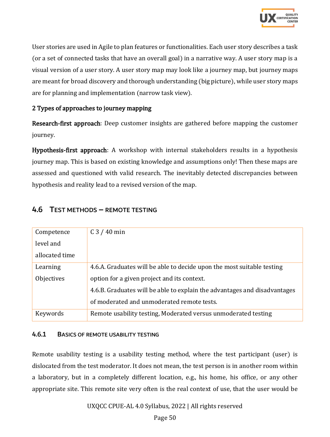

User stories are used in Agile to plan features or functionalities. Each user story describes a task (or a set of connected tasks that have an overall goal) in a narrative way. A user story map is a visual version of a user story. A user story map may look like a journey map, but journey maps are meant for broad discovery and thorough understanding (big picture), while user story maps are for planning and implementation (narrow task view).

#### 2 Types of approaches to journey mapping

Research-first approach: Deep customer insights are gathered before mapping the customer journey.

Hypothesis-first approach: A workshop with internal stakeholders results in a hypothesis journey map. This is based on existing knowledge and assumptions only! Then these maps are assessed and questioned with valid research. The inevitably detected discrepancies between hypothesis and reality lead to a revised version of the map.

### <span id="page-49-0"></span>4.6 TEST METHODS – REMOTE TESTING

| Competence     | $C3 / 40$ min                                                             |
|----------------|---------------------------------------------------------------------------|
| level and      |                                                                           |
| allocated time |                                                                           |
| Learning       | 4.6.A. Graduates will be able to decide upon the most suitable testing    |
| Objectives     | option for a given project and its context.                               |
|                | 4.6.B. Graduates will be able to explain the advantages and disadvantages |
|                | of moderated and unmoderated remote tests.                                |
| Keywords       | Remote usability testing, Moderated versus unmoderated testing            |

#### <span id="page-49-1"></span>4.6.1 BASICS OF REMOTE USABILITY TESTING

Remote usability testing is a usability testing method, where the test participant (user) is dislocated from the test moderator. It does not mean, the test person is in another room within a laboratory, but in a completely different location, e.g., his home, his office, or any other appropriate site. This remote site very often is the real context of use, that the user would be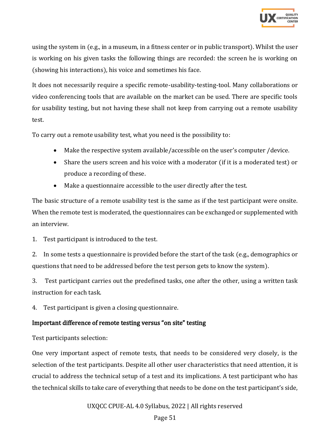

using the system in (e.g., in a museum, in a fitness center or in public transport). Whilst the user is working on his given tasks the following things are recorded: the screen he is working on (showing his interactions), his voice and sometimes his face.

It does not necessarily require a specific remote-usability-testing-tool. Many collaborations or video conferencing tools that are available on the market can be used. There are specific tools for usability testing, but not having these shall not keep from carrying out a remote usability test.

To carry out a remote usability test, what you need is the possibility to:

- Make the respective system available/accessible on the user's computer /device.
- Share the users screen and his voice with a moderator (if it is a moderated test) or produce a recording of these.
- Make a questionnaire accessible to the user directly after the test.

The basic structure of a remote usability test is the same as if the test participant were onsite. When the remote test is moderated, the questionnaires can be exchanged or supplemented with an interview.

1. Test participant is introduced to the test.

2. In some tests a questionnaire is provided before the start of the task (e.g., demographics or questions that need to be addressed before the test person gets to know the system).

3. Test participant carries out the predefined tasks, one after the other, using a written task instruction for each task.

4. Test participant is given a closing questionnaire.

#### Important difference of remote testing versus "on site" testing

Test participants selection:

One very important aspect of remote tests, that needs to be considered very closely, is the selection of the test participants. Despite all other user characteristics that need attention, it is crucial to address the technical setup of a test and its implications. A test participant who has the technical skills to take care of everything that needs to be done on the test participant's side,

UXQCC CPUE-AL 4.0 Syllabus, 2022 | All rights reserved

Page 51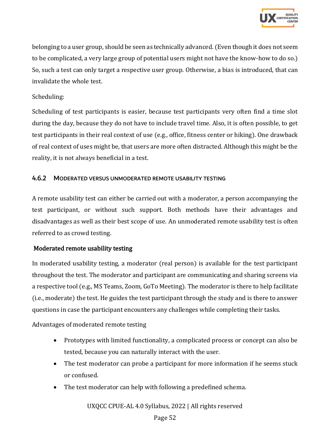

belonging to a user group, should be seen as technically advanced. (Even though it does not seem to be complicated, a very large group of potential users might not have the know-how to do so.) So, such a test can only target a respective user group. Otherwise, a bias is introduced, that can invalidate the whole test.

#### Scheduling:

Scheduling of test participants is easier, because test participants very often find a time slot during the day, because they do not have to include travel time. Also, it is often possible, to get test participants in their real context of use (e.g., office, fitness center or hiking). One drawback of real context of uses might be, that users are more often distracted. Although this might be the reality, it is not always beneficial in a test.

#### <span id="page-51-0"></span>4.6.2 MODERATED VERSUS UNMODERATED REMOTE USABILITY TESTING

A remote usability test can either be carried out with a moderator, a person accompanying the test participant, or without such support. Both methods have their advantages and disadvantages as well as their best scope of use. An unmoderated remote usability test is often referred to as crowd testing.

#### Moderated remote usability testing

In moderated usability testing, a moderator (real person) is available for the test participant throughout the test. The moderator and participant are communicating and sharing screens via a respective tool (e.g., MS Teams, Zoom, GoTo Meeting). The moderator is there to help facilitate (i.e., moderate) the test. He guides the test participant through the study and is there to answer questions in case the participant encounters any challenges while completing their tasks.

Advantages of moderated remote testing

- Prototypes with limited functionality, a complicated process or concept can also be tested, because you can naturally interact with the user.
- The test moderator can probe a participant for more information if he seems stuck or confused.
- The test moderator can help with following a predefined schema.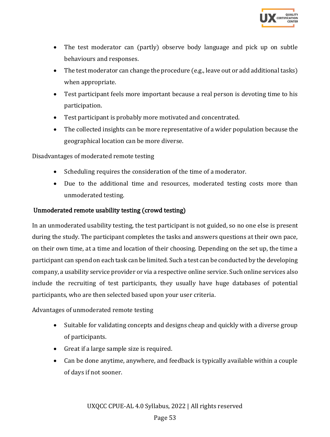

- The test moderator can (partly) observe body language and pick up on subtle behaviours and responses.
- The test moderator can change the procedure (e.g., leave out or add additional tasks) when appropriate.
- Test participant feels more important because a real person is devoting time to his participation.
- Test participant is probably more motivated and concentrated.
- The collected insights can be more representative of a wider population because the geographical location can be more diverse.

Disadvantages of moderated remote testing

- Scheduling requires the consideration of the time of a moderator.
- Due to the additional time and resources, moderated testing costs more than unmoderated testing.

#### Unmoderated remote usability testing (crowd testing)

In an unmoderated usability testing, the test participant is not guided, so no one else is present during the study. The participant completes the tasks and answers questions at their own pace, on their own time, at a time and location of their choosing. Depending on the set up, the time a participant can spend on each task can be limited. Such a test can be conducted by the developing company, a usability service provider or via a respective online service. Such online services also include the recruiting of test participants, they usually have huge databases of potential participants, who are then selected based upon your user criteria.

Advantages of unmoderated remote testing

- Suitable for validating concepts and designs cheap and quickly with a diverse group of participants.
- Great if a large sample size is required.
- Can be done anytime, anywhere, and feedback is typically available within a couple of days if not sooner.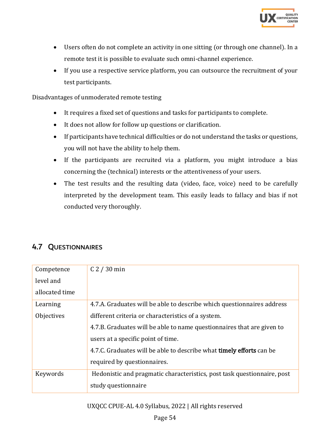

- Users often do not complete an activity in one sitting (or through one channel). In a remote test it is possible to [evaluate such omni-channel experience.](https://www.usertesting.com/blog/remote-omnichannel-studies/)
- If you use a respective service platform, you can outsource the recruitment of your test participants.

Disadvantages of unmoderated remote testing

- It requires a fixed set of questions and tasks for participants to complete.
- It does not allow for follow up questions or clarification.
- If participants have technical difficulties or do not understand the tasks or questions, you will not have the ability to help them.
- If the participants are recruited via a platform, you might introduce a bias concerning the (technical) interests or the attentiveness of your users.
- The test results and the resulting data (video, face, voice) need to be carefully interpreted by the development team. This easily leads to fallacy and bias if not conducted very thoroughly.

# <span id="page-53-0"></span>4.7 QUESTIONNAIRES

| Competence     | C <sub>2</sub> / 30 min                                                     |
|----------------|-----------------------------------------------------------------------------|
| level and      |                                                                             |
| allocated time |                                                                             |
| Learning       | 4.7.A. Graduates will be able to describe which questionnaires address      |
| Objectives     | different criteria or characteristics of a system.                          |
|                | 4.7.B. Graduates will be able to name question aires that are given to      |
|                | users at a specific point of time.                                          |
|                | 4.7.C. Graduates will be able to describe what <b>timely efforts</b> can be |
|                | required by questionnaires.                                                 |
| Keywords       | Hedonistic and pragmatic characteristics, post task questionnaire, post     |
|                | study questionnaire                                                         |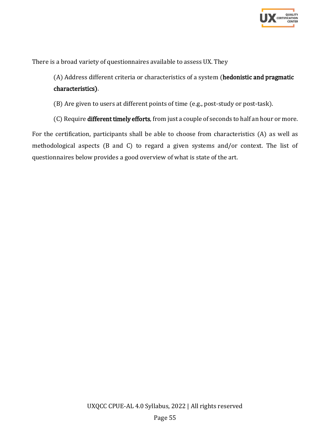

There is a broad variety of questionnaires available to assess UX. They

(A) Address different criteria or characteristics of a system (hedonistic and pragmatic characteristics).

(B) Are given to users at different points of time (e.g., post-study or post-task).

(C) Require different timely efforts, from just a couple of seconds to half an hour or more.

For the certification, participants shall be able to choose from characteristics (A) as well as methodological aspects (B and C) to regard a given systems and/or context. The list of questionnaires below provides a good overview of what is state of the art.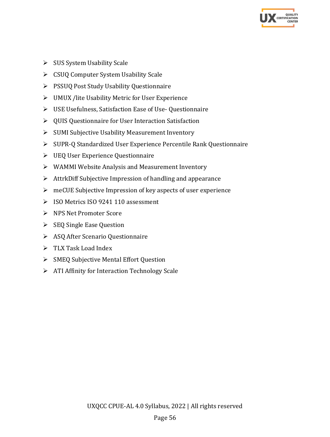

- ➢ SUS System Usability Scale
- ➢ CSUQ Computer System Usability Scale
- ➢ PSSUQ Post Study Usability Questionnaire
- ➢ UMUX /lite Usability Metric for User Experience
- ➢ USE Usefulness, Satisfaction Ease of Use- Questionnaire
- ➢ QUIS Questionnaire for User Interaction Satisfaction
- ➢ SUMI Subjective Usability Measurement Inventory
- ➢ SUPR-Q Standardized User Experience Percentile Rank Questionnaire
- ➢ UEQ User Experience Questionnaire
- ➢ WAMMI Website Analysis and Measurement Inventory
- ➢ AttrkDiff Subjective Impression of handling and appearance
- ➢ meCUE Subjective Impression of key aspects of user experience
- ➢ ISO Metrics ISO 9241 110 assessment
- ➢ NPS Net Promoter Score
- ➢ SEQ Single Ease Question
- ➢ ASQ After Scenario Questionnaire
- ➢ TLX Task Load Index
- ➢ SMEQ Subjective Mental Effort Question
- ➢ ATI Affinity for Interaction Technology Scale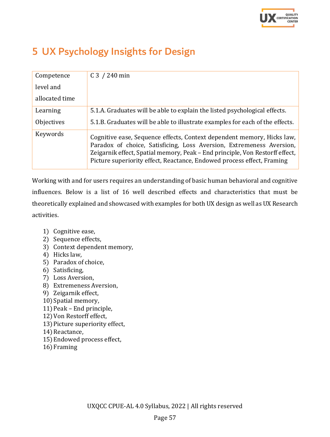

# <span id="page-56-0"></span>5 UX Psychology Insights for Design

| Competence     | $C_3$ / 240 min                                                                                                                                                                                                                                                                                          |
|----------------|----------------------------------------------------------------------------------------------------------------------------------------------------------------------------------------------------------------------------------------------------------------------------------------------------------|
| level and      |                                                                                                                                                                                                                                                                                                          |
| allocated time |                                                                                                                                                                                                                                                                                                          |
| Learning       | 5.1.A. Graduates will be able to explain the listed psychological effects.                                                                                                                                                                                                                               |
| Objectives     | 5.1.B. Graduates will be able to illustrate examples for each of the effects.                                                                                                                                                                                                                            |
| Keywords       | Cognitive ease, Sequence effects, Context dependent memory, Hicks law,<br>Paradox of choice, Satisficing, Loss Aversion, Extremeness Aversion,<br>Zeigarnik effect, Spatial memory, Peak – End principle, Von Restorff effect,<br>Picture superiority effect, Reactance, Endowed process effect, Framing |

Working with and for users requires an understanding of basic human behavioral and cognitive influences. Below is a list of 16 well described effects and characteristics that must be theoretically explained and showcased with examples for both UX design as well as UX Research activities.

- 1) Cognitive ease,
- 2) Sequence effects,
- 3) Context dependent memory,
- 4) Hicks law,
- 5) Paradox of choice,
- 6) Satisficing,
- 7) Loss Aversion,
- 8) Extremeness Aversion,
- 9) Zeigarnik effect,
- 10) Spatial memory,
- 11)Peak End principle,
- 12)Von Restorff effect,
- 13)Picture superiority effect,
- 14) Reactance,
- 15)Endowed process effect,
- 16)Framing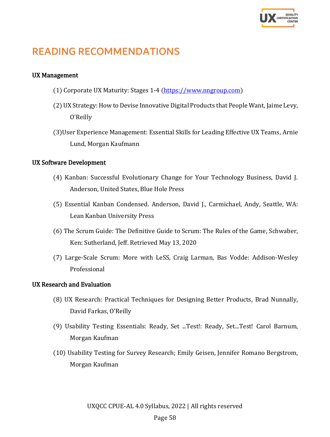

# <span id="page-57-0"></span>READING RECOMMENDATIONS

#### UX Management

- (1) Corporate UX Maturity: Stages 1-4 [\(https://www.nngroup.com\)](https://www.nngroup.com/)
- (2) UX Strategy: How to Devise Innovative Digital Products that People Want, Jaime Levy, O'Reilly
- (3)User Experience Management: Essential Skills for Leading Effective UX Teams, Arnie Lund, Morgan Kaufmann

#### UX Software Development

- (4) Kanban: Successful Evolutionary Change for Your Technology Business, David J. Anderson, United States, Blue Hole Press
- (5) Essential Kanban Condensed. Anderson, David J., Carmichael, Andy, Seattle, WA: Lean Kanban University Press
- (6) The Scrum Guide: The Definitive Guide to Scrum: The Rules of the Game, Schwaber, Ken: Sutherland, Jeff. Retrieved May 13, 2020
- (7) Large-Scale Scrum: More with LeSS, Craig Larman, Bas Vodde: Addison-Wesley Professional

#### UX Research and Evaluation

- (8) UX Research: Practical Techniques for Designing Better Products, Brad Nunnally, David Farkas, O'Reilly
- (9) [Usability Testing Essentials: Ready, Set ...Test!: Ready, Set...Test!](https://www.amazon.de/Usability-Testing-Essentials-Ready-Test/dp/0128169427/ref=sr_1_1?crid=2ONP77CUHZ5OL&keywords=usability+testing&qid=1650529283&refinements=p_n_feature_three_browse-bin%3A4192709031&rnid=4192708031&s=books&sprefix=usability+test%2Cstripbooks%2C56&sr=1-1) Carol Barnum, Morgan Kaufman
- (10) Usability Testing for Survey Research; Emily Geisen, Jennifer Romano Bergstrom, Morgan Kaufman